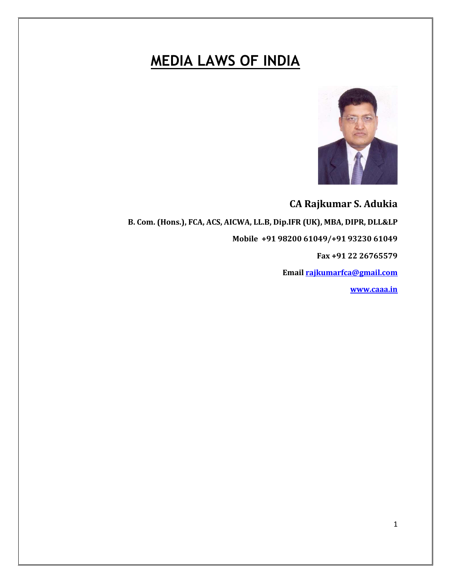# **MEDIA LAWS OF INDIA**



**CA Rajkumar S. Adukia B. Com. (Hons.), FCA, ACS, AICWA, LL.B, Dip.IFR (UK), MBA, DIPR, DLL&LP Mobile +91 98200 61049/+91 93230 61049 Fax +91 22 26765579 Email [rajkumarfca@gmail.com](mailto:rajkumarfca@gmail.com)  [www.caaa.in](http://www.caaa.in/)**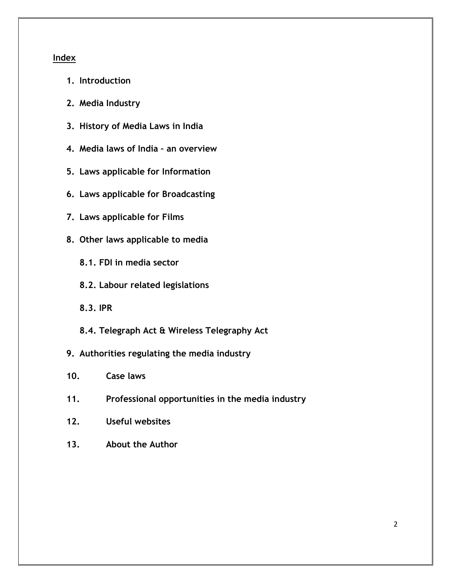### **Index**

- **1. Introduction**
- **2. Media Industry**
- **3. History of Media Laws in India**
- **4. Media laws of India an overview**
- **5. Laws applicable for Information**
- **6. Laws applicable for Broadcasting**
- **7. Laws applicable for Films**
- **8. Other laws applicable to media** 
	- **8.1. FDI in media sector**
	- **8.2. Labour related legislations**
	- **8.3. IPR**
	- **8.4. Telegraph Act & Wireless Telegraphy Act**
- **9. Authorities regulating the media industry**
- **10. Case laws**
- **11. Professional opportunities in the media industry**
- **12. Useful websites**
- **13. About the Author**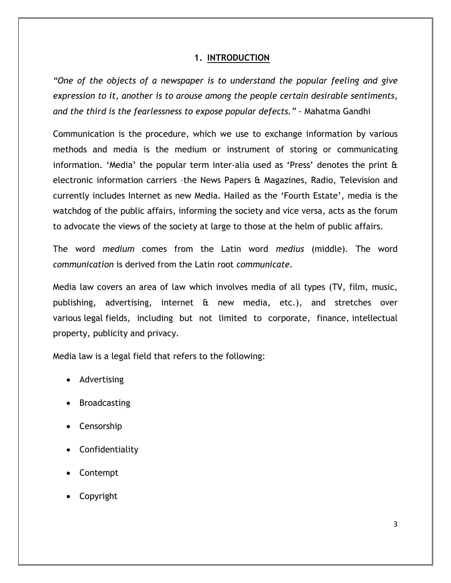# **1. INTRODUCTION**

*"One of the objects of a newspaper is to understand the popular feeling and give expression to it, another is to arouse among the people certain desirable sentiments, and the third is the fearlessness to expose popular defects." –* Mahatma Gandhi

Communication is the procedure, which we use to exchange information by various methods and media is the medium or instrument of storing or communicating information. 'Media' the popular term inter-alia used as 'Press' denotes the print & electronic information carriers –the News Papers & Magazines, Radio, Television and currently includes Internet as new Media. Hailed as the 'Fourth Estate', media is the watchdog of the public affairs, informing the society and vice versa, acts as the forum to advocate the views of the society at large to those at the helm of public affairs.

The word *medium* comes from the Latin word *medius* (middle). The word *communication* is derived from the Latin root *communicate.*

Media law covers an area of law which involves media of all types (TV, film, music, publishing, advertising, internet & new media, etc.), and stretches over various legal fields, including but not limited to corporate, finance, intellectual property, publicity and privacy.

Media law is a legal field that refers to the following:

- Advertising
- Broadcasting
- Censorship
- Confidentiality
- Contempt
- **Copyright**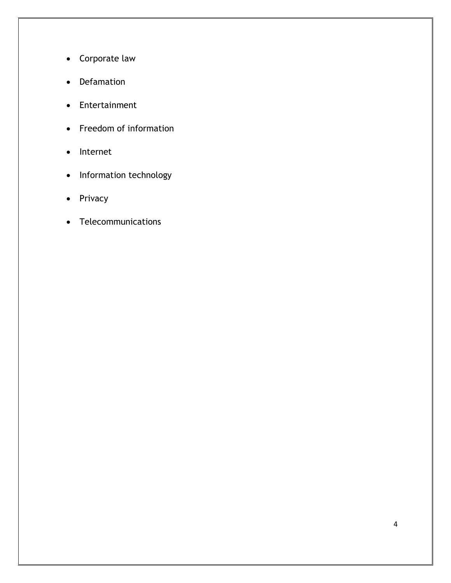- Corporate law
- Defamation
- Entertainment
- Freedom of information
- Internet
- Information technology
- Privacy
- Telecommunications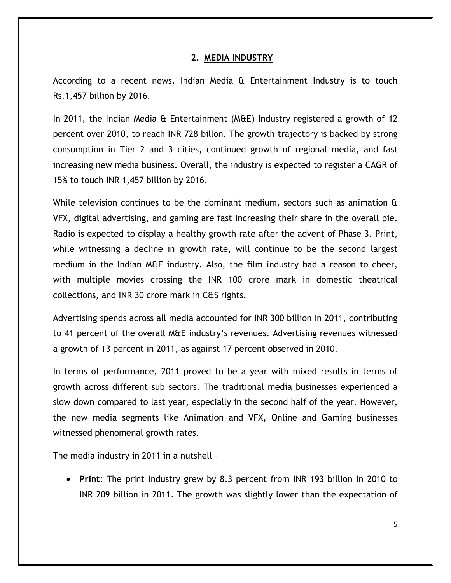### **2. MEDIA INDUSTRY**

According to a recent news, Indian Media & Entertainment Industry is to touch Rs.1,457 billion by 2016.

In 2011, the Indian Media & Entertainment (M&E) Industry registered a growth of 12 percent over 2010, to reach INR 728 billon. The growth trajectory is backed by strong consumption in Tier 2 and 3 cities, continued growth of regional media, and fast increasing new media business. Overall, the industry is expected to register a CAGR of 15% to touch INR 1,457 billion by 2016.

While television continues to be the dominant medium, sectors such as animation  $\hat{a}$ VFX, digital advertising, and gaming are fast increasing their share in the overall pie. Radio is expected to display a healthy growth rate after the advent of Phase 3. Print, while witnessing a decline in growth rate, will continue to be the second largest medium in the Indian M&E industry. Also, the film industry had a reason to cheer, with multiple movies crossing the INR 100 crore mark in domestic theatrical collections, and INR 30 crore mark in C&S rights.

Advertising spends across all media accounted for INR 300 billion in 2011, contributing to 41 percent of the overall M&E industry's revenues. Advertising revenues witnessed a growth of 13 percent in 2011, as against 17 percent observed in 2010.

In terms of performance, 2011 proved to be a year with mixed results in terms of growth across different sub sectors. The traditional media businesses experienced a slow down compared to last year, especially in the second half of the year. However, the new media segments like Animation and VFX, Online and Gaming businesses witnessed phenomenal growth rates.

The media industry in 2011 in a nutshell –

• **Print**: The print industry grew by 8.3 percent from INR 193 billion in 2010 to INR 209 billion in 2011. The growth was slightly lower than the expectation of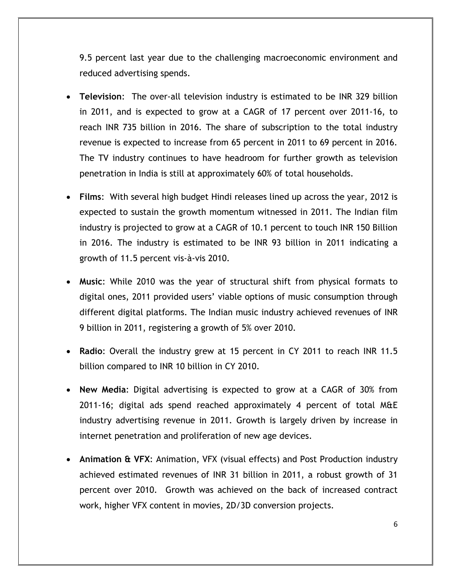9.5 percent last year due to the challenging macroeconomic environment and reduced advertising spends.

- **Television**: The over-all television industry is estimated to be INR 329 billion in 2011, and is expected to grow at a CAGR of 17 percent over 2011-16, to reach INR 735 billion in 2016. The share of subscription to the total industry revenue is expected to increase from 65 percent in 2011 to 69 percent in 2016. The TV industry continues to have headroom for further growth as television penetration in India is still at approximately 60% of total households.
- **Films**: With several high budget Hindi releases lined up across the year, 2012 is expected to sustain the growth momentum witnessed in 2011. The Indian film industry is projected to grow at a CAGR of 10.1 percent to touch INR 150 Billion in 2016. The industry is estimated to be INR 93 billion in 2011 indicating a growth of 11.5 percent vis-à-vis 2010.
- **Music**: While 2010 was the year of structural shift from physical formats to digital ones, 2011 provided users' viable options of music consumption through different digital platforms. The Indian music industry achieved revenues of INR 9 billion in 2011, registering a growth of 5% over 2010.
- **Radio**: Overall the industry grew at 15 percent in CY 2011 to reach INR 11.5 billion compared to INR 10 billion in CY 2010.
- **New Media**: Digital advertising is expected to grow at a CAGR of 30% from 2011-16; digital ads spend reached approximately 4 percent of total M&E industry advertising revenue in 2011. Growth is largely driven by increase in internet penetration and proliferation of new age devices.
- **Animation & VFX**: Animation, VFX (visual effects) and Post Production industry achieved estimated revenues of INR 31 billion in 2011, a robust growth of 31 percent over 2010. Growth was achieved on the back of increased contract work, higher VFX content in movies, 2D/3D conversion projects.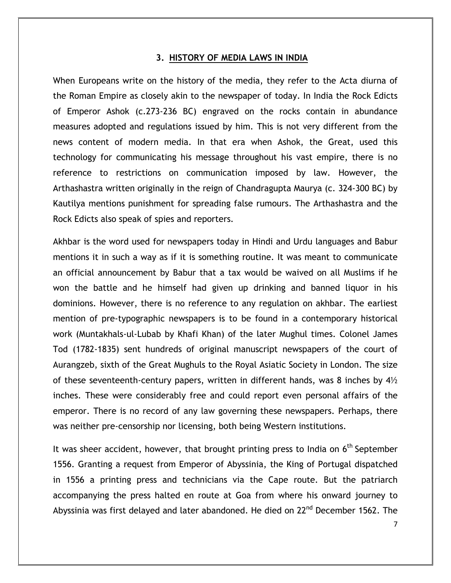### **3. HISTORY OF MEDIA LAWS IN INDIA**

When Europeans write on the history of the media, they refer to the Acta diurna of the Roman Empire as closely akin to the newspaper of today. In India the Rock Edicts of Emperor Ashok (c.273-236 BC) engraved on the rocks contain in abundance measures adopted and regulations issued by him. This is not very different from the news content of modern media. In that era when Ashok, the Great, used this technology for communicating his message throughout his vast empire, there is no reference to restrictions on communication imposed by law. However, the Arthashastra written originally in the reign of Chandragupta Maurya (c. 324-300 BC) by Kautilya mentions punishment for spreading false rumours. The Arthashastra and the Rock Edicts also speak of spies and reporters.

Akhbar is the word used for newspapers today in Hindi and Urdu languages and Babur mentions it in such a way as if it is something routine. It was meant to communicate an official announcement by Babur that a tax would be waived on all Muslims if he won the battle and he himself had given up drinking and banned liquor in his dominions. However, there is no reference to any regulation on akhbar. The earliest mention of pre-typographic newspapers is to be found in a contemporary historical work (Muntakhals-ul-Lubab by Khafi Khan) of the later Mughul times. Colonel James Tod (1782-1835) sent hundreds of original manuscript newspapers of the court of Aurangzeb, sixth of the Great Mughuls to the Royal Asiatic Society in London. The size of these seventeenth-century papers, written in different hands, was 8 inches by 4½ inches. These were considerably free and could report even personal affairs of the emperor. There is no record of any law governing these newspapers. Perhaps, there was neither pre-censorship nor licensing, both being Western institutions.

It was sheer accident, however, that brought printing press to India on  $6<sup>th</sup>$  September 1556. Granting a request from Emperor of Abyssinia, the King of Portugal dispatched in 1556 a printing press and technicians via the Cape route. But the patriarch accompanying the press halted en route at Goa from where his onward journey to Abyssinia was first delayed and later abandoned. He died on 22<sup>nd</sup> December 1562. The

7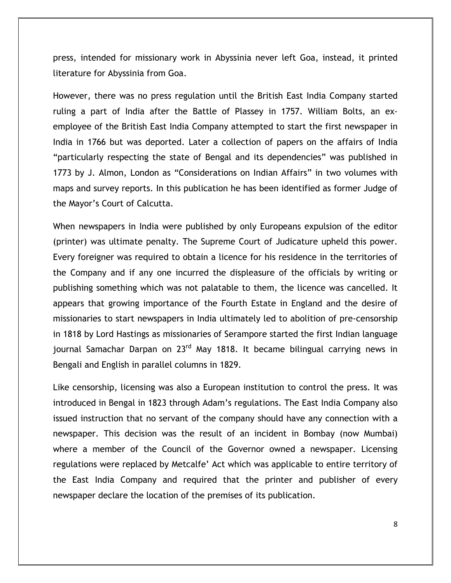press, intended for missionary work in Abyssinia never left Goa, instead, it printed literature for Abyssinia from Goa.

However, there was no press regulation until the British East India Company started ruling a part of India after the Battle of Plassey in 1757. William Bolts, an exemployee of the British East India Company attempted to start the first newspaper in India in 1766 but was deported. Later a collection of papers on the affairs of India "particularly respecting the state of Bengal and its dependencies" was published in 1773 by J. Almon, London as "Considerations on Indian Affairs" in two volumes with maps and survey reports. In this publication he has been identified as former Judge of the Mayor's Court of Calcutta.

When newspapers in India were published by only Europeans expulsion of the editor (printer) was ultimate penalty. The Supreme Court of Judicature upheld this power. Every foreigner was required to obtain a licence for his residence in the territories of the Company and if any one incurred the displeasure of the officials by writing or publishing something which was not palatable to them, the licence was cancelled. It appears that growing importance of the Fourth Estate in England and the desire of missionaries to start newspapers in India ultimately led to abolition of pre-censorship in 1818 by Lord Hastings as missionaries of Serampore started the first Indian language journal Samachar Darpan on 23<sup>rd</sup> May 1818. It became bilingual carrying news in Bengali and English in parallel columns in 1829.

Like censorship, licensing was also a European institution to control the press. It was introduced in Bengal in 1823 through Adam's regulations. The East India Company also issued instruction that no servant of the company should have any connection with a newspaper. This decision was the result of an incident in Bombay (now Mumbai) where a member of the Council of the Governor owned a newspaper. Licensing regulations were replaced by Metcalfe' Act which was applicable to entire territory of the East India Company and required that the printer and publisher of every newspaper declare the location of the premises of its publication.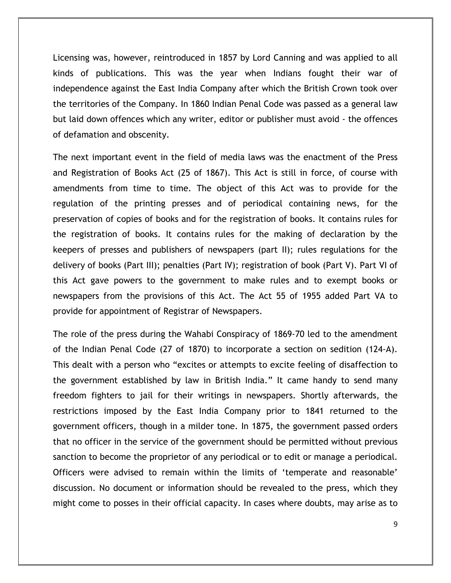Licensing was, however, reintroduced in 1857 by Lord Canning and was applied to all kinds of publications. This was the year when Indians fought their war of independence against the East India Company after which the British Crown took over the territories of the Company. In 1860 Indian Penal Code was passed as a general law but laid down offences which any writer, editor or publisher must avoid - the offences of defamation and obscenity.

The next important event in the field of media laws was the enactment of the Press and Registration of Books Act (25 of 1867). This Act is still in force, of course with amendments from time to time. The object of this Act was to provide for the regulation of the printing presses and of periodical containing news, for the preservation of copies of books and for the registration of books. It contains rules for the registration of books. It contains rules for the making of declaration by the keepers of presses and publishers of newspapers (part II); rules regulations for the delivery of books (Part III); penalties (Part IV); registration of book (Part V). Part VI of this Act gave powers to the government to make rules and to exempt books or newspapers from the provisions of this Act. The Act 55 of 1955 added Part VA to provide for appointment of Registrar of Newspapers.

The role of the press during the Wahabi Conspiracy of 1869-70 led to the amendment of the Indian Penal Code (27 of 1870) to incorporate a section on sedition (124-A). This dealt with a person who "excites or attempts to excite feeling of disaffection to the government established by law in British India." It came handy to send many freedom fighters to jail for their writings in newspapers. Shortly afterwards, the restrictions imposed by the East India Company prior to 1841 returned to the government officers, though in a milder tone. In 1875, the government passed orders that no officer in the service of the government should be permitted without previous sanction to become the proprietor of any periodical or to edit or manage a periodical. Officers were advised to remain within the limits of 'temperate and reasonable' discussion. No document or information should be revealed to the press, which they might come to posses in their official capacity. In cases where doubts, may arise as to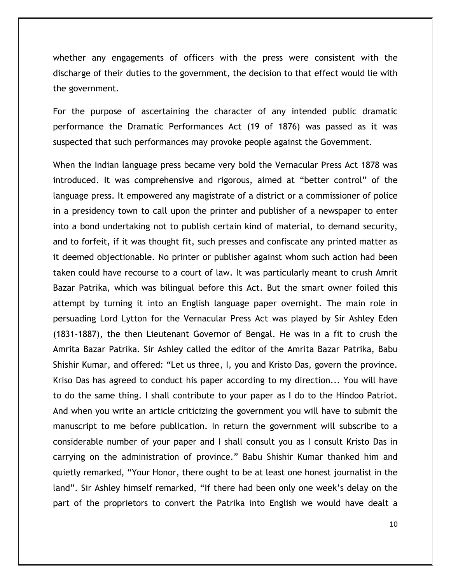whether any engagements of officers with the press were consistent with the discharge of their duties to the government, the decision to that effect would lie with the government.

For the purpose of ascertaining the character of any intended public dramatic performance the Dramatic Performances Act (19 of 1876) was passed as it was suspected that such performances may provoke people against the Government.

When the Indian language press became very bold the Vernacular Press Act 1878 was introduced. It was comprehensive and rigorous, aimed at "better control" of the language press. It empowered any magistrate of a district or a commissioner of police in a presidency town to call upon the printer and publisher of a newspaper to enter into a bond undertaking not to publish certain kind of material, to demand security, and to forfeit, if it was thought fit, such presses and confiscate any printed matter as it deemed objectionable. No printer or publisher against whom such action had been taken could have recourse to a court of law. It was particularly meant to crush Amrit Bazar Patrika, which was bilingual before this Act. But the smart owner foiled this attempt by turning it into an English language paper overnight. The main role in persuading Lord Lytton for the Vernacular Press Act was played by Sir Ashley Eden (1831-1887), the then Lieutenant Governor of Bengal. He was in a fit to crush the Amrita Bazar Patrika. Sir Ashley called the editor of the Amrita Bazar Patrika, Babu Shishir Kumar, and offered: "Let us three, I, you and Kristo Das, govern the province. Kriso Das has agreed to conduct his paper according to my direction... You will have to do the same thing. I shall contribute to your paper as I do to the Hindoo Patriot. And when you write an article criticizing the government you will have to submit the manuscript to me before publication. In return the government will subscribe to a considerable number of your paper and I shall consult you as I consult Kristo Das in carrying on the administration of province." Babu Shishir Kumar thanked him and quietly remarked, "Your Honor, there ought to be at least one honest journalist in the land". Sir Ashley himself remarked, "If there had been only one week's delay on the part of the proprietors to convert the Patrika into English we would have dealt a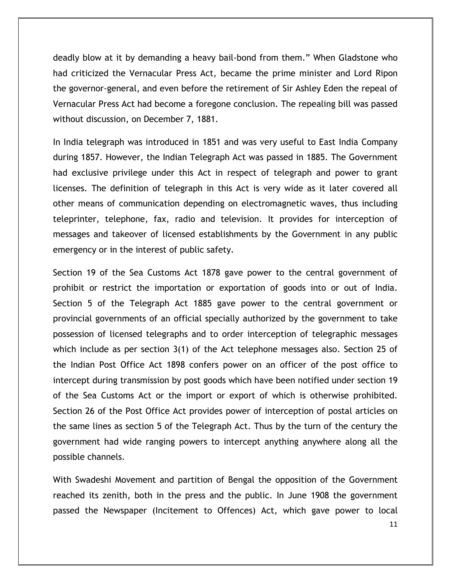deadly blow at it by demanding a heavy bail-bond from them." When Gladstone who had criticized the Vernacular Press Act, became the prime minister and Lord Ripon the governor-general, and even before the retirement of Sir Ashley Eden the repeal of Vernacular Press Act had become a foregone conclusion. The repealing bill was passed without discussion, on December 7, 1881.

In India telegraph was introduced in 1851 and was very useful to East India Company during 1857. However, the Indian Telegraph Act was passed in 1885. The Government had exclusive privilege under this Act in respect of telegraph and power to grant licenses. The definition of telegraph in this Act is very wide as it later covered all other means of communication depending on electromagnetic waves, thus including teleprinter, telephone, fax, radio and television. It provides for interception of messages and takeover of licensed establishments by the Government in any public emergency or in the interest of public safety.

Section 19 of the Sea Customs Act 1878 gave power to the central government of prohibit or restrict the importation or exportation of goods into or out of India. Section 5 of the Telegraph Act 1885 gave power to the central government or provincial governments of an official specially authorized by the government to take possession of licensed telegraphs and to order interception of telegraphic messages which include as per section 3(1) of the Act telephone messages also. Section 25 of the Indian Post Office Act 1898 confers power on an officer of the post office to intercept during transmission by post goods which have been notified under section 19 of the Sea Customs Act or the import or export of which is otherwise prohibited. Section 26 of the Post Office Act provides power of interception of postal articles on the same lines as section 5 of the Telegraph Act. Thus by the turn of the century the government had wide ranging powers to intercept anything anywhere along all the possible channels.

With Swadeshi Movement and partition of Bengal the opposition of the Government reached its zenith, both in the press and the public. In June 1908 the government passed the Newspaper (Incitement to Offences) Act, which gave power to local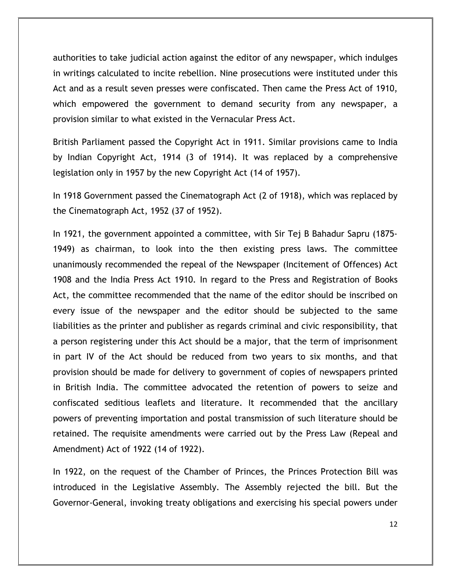authorities to take judicial action against the editor of any newspaper, which indulges in writings calculated to incite rebellion. Nine prosecutions were instituted under this Act and as a result seven presses were confiscated. Then came the Press Act of 1910, which empowered the government to demand security from any newspaper, a provision similar to what existed in the Vernacular Press Act.

British Parliament passed the Copyright Act in 1911. Similar provisions came to India by Indian Copyright Act, 1914 (3 of 1914). It was replaced by a comprehensive legislation only in 1957 by the new Copyright Act (14 of 1957).

In 1918 Government passed the Cinematograph Act (2 of 1918), which was replaced by the Cinematograph Act, 1952 (37 of 1952).

In 1921, the government appointed a committee, with Sir Tej B Bahadur Sapru (1875- 1949) as chairman, to look into the then existing press laws. The committee unanimously recommended the repeal of the Newspaper (Incitement of Offences) Act 1908 and the India Press Act 1910. In regard to the Press and Registration of Books Act, the committee recommended that the name of the editor should be inscribed on every issue of the newspaper and the editor should be subjected to the same liabilities as the printer and publisher as regards criminal and civic responsibility, that a person registering under this Act should be a major, that the term of imprisonment in part IV of the Act should be reduced from two years to six months, and that provision should be made for delivery to government of copies of newspapers printed in British India. The committee advocated the retention of powers to seize and confiscated seditious leaflets and literature. It recommended that the ancillary powers of preventing importation and postal transmission of such literature should be retained. The requisite amendments were carried out by the Press Law (Repeal and Amendment) Act of 1922 (14 of 1922).

In 1922, on the request of the Chamber of Princes, the Princes Protection Bill was introduced in the Legislative Assembly. The Assembly rejected the bill. But the Governor-General, invoking treaty obligations and exercising his special powers under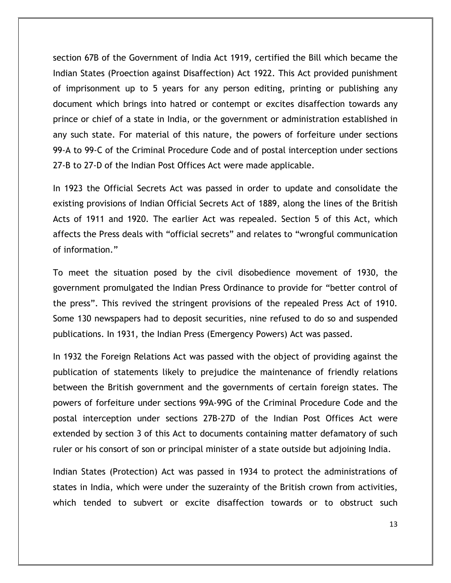section 67B of the Government of India Act 1919, certified the Bill which became the Indian States (Proection against Disaffection) Act 1922. This Act provided punishment of imprisonment up to 5 years for any person editing, printing or publishing any document which brings into hatred or contempt or excites disaffection towards any prince or chief of a state in India, or the government or administration established in any such state. For material of this nature, the powers of forfeiture under sections 99-A to 99-C of the Criminal Procedure Code and of postal interception under sections 27-B to 27-D of the Indian Post Offices Act were made applicable.

In 1923 the Official Secrets Act was passed in order to update and consolidate the existing provisions of Indian Official Secrets Act of 1889, along the lines of the British Acts of 1911 and 1920. The earlier Act was repealed. Section 5 of this Act, which affects the Press deals with "official secrets" and relates to "wrongful communication of information."

To meet the situation posed by the civil disobedience movement of 1930, the government promulgated the Indian Press Ordinance to provide for "better control of the press". This revived the stringent provisions of the repealed Press Act of 1910. Some 130 newspapers had to deposit securities, nine refused to do so and suspended publications. In 1931, the Indian Press (Emergency Powers) Act was passed.

In 1932 the Foreign Relations Act was passed with the object of providing against the publication of statements likely to prejudice the maintenance of friendly relations between the British government and the governments of certain foreign states. The powers of forfeiture under sections 99A-99G of the Criminal Procedure Code and the postal interception under sections 27B-27D of the Indian Post Offices Act were extended by section 3 of this Act to documents containing matter defamatory of such ruler or his consort of son or principal minister of a state outside but adjoining India.

Indian States (Protection) Act was passed in 1934 to protect the administrations of states in India, which were under the suzerainty of the British crown from activities, which tended to subvert or excite disaffection towards or to obstruct such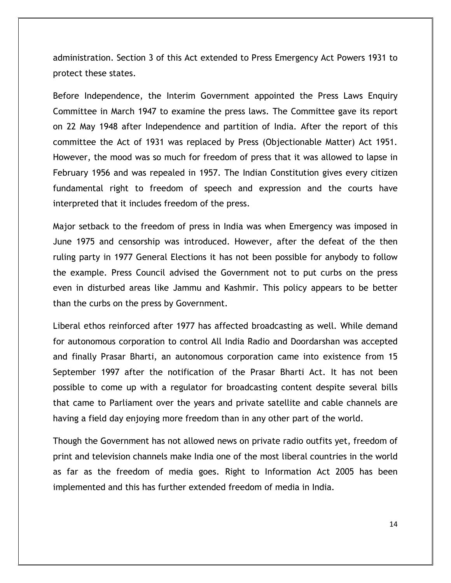administration. Section 3 of this Act extended to Press Emergency Act Powers 1931 to protect these states.

Before Independence, the Interim Government appointed the Press Laws Enquiry Committee in March 1947 to examine the press laws. The Committee gave its report on 22 May 1948 after Independence and partition of India. After the report of this committee the Act of 1931 was replaced by Press (Objectionable Matter) Act 1951. However, the mood was so much for freedom of press that it was allowed to lapse in February 1956 and was repealed in 1957. The Indian Constitution gives every citizen fundamental right to freedom of speech and expression and the courts have interpreted that it includes freedom of the press.

Major setback to the freedom of press in India was when Emergency was imposed in June 1975 and censorship was introduced. However, after the defeat of the then ruling party in 1977 General Elections it has not been possible for anybody to follow the example. Press Council advised the Government not to put curbs on the press even in disturbed areas like Jammu and Kashmir. This policy appears to be better than the curbs on the press by Government.

Liberal ethos reinforced after 1977 has affected broadcasting as well. While demand for autonomous corporation to control All India Radio and Doordarshan was accepted and finally Prasar Bharti, an autonomous corporation came into existence from 15 September 1997 after the notification of the Prasar Bharti Act. It has not been possible to come up with a regulator for broadcasting content despite several bills that came to Parliament over the years and private satellite and cable channels are having a field day enjoying more freedom than in any other part of the world.

Though the Government has not allowed news on private radio outfits yet, freedom of print and television channels make India one of the most liberal countries in the world as far as the freedom of media goes. Right to Information Act 2005 has been implemented and this has further extended freedom of media in India.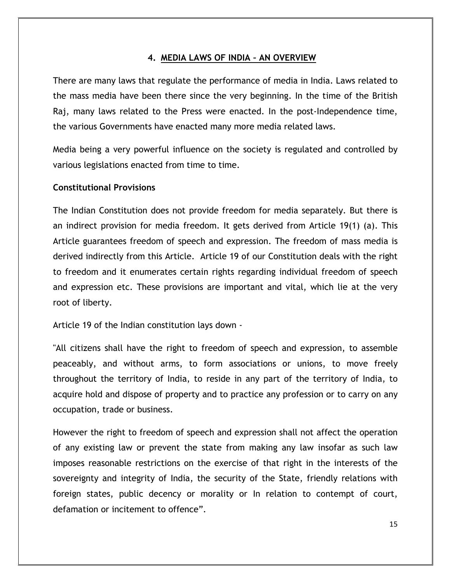### **4. MEDIA LAWS OF INDIA – AN OVERVIEW**

There are many laws that regulate the performance of media in India. Laws related to the mass media have been there since the very beginning. In the time of the British Raj, many laws related to the Press were enacted. In the post-Independence time, the various Governments have enacted many more media related laws.

Media being a very powerful influence on the society is regulated and controlled by various legislations enacted from time to time.

### **Constitutional Provisions**

The Indian Constitution does not provide freedom for media separately. But there is an indirect provision for media freedom. It gets derived from Article 19(1) (a). This Article guarantees freedom of speech and expression. The freedom of mass media is derived indirectly from this Article. Article 19 of our Constitution deals with the right to freedom and it enumerates certain rights regarding individual freedom of speech and expression etc. These provisions are important and vital, which lie at the very root of liberty.

Article 19 of the Indian constitution lays down -

"All citizens shall have the right to freedom of speech and expression, to assemble peaceably, and without arms, to form associations or unions, to move freely throughout the territory of India, to reside in any part of the territory of India, to acquire hold and dispose of property and to practice any profession or to carry on any occupation, trade or business.

However the right to freedom of speech and expression shall not affect the operation of any existing law or prevent the state from making any law insofar as such law imposes reasonable restrictions on the exercise of that right in the interests of the sovereignty and integrity of India, the security of the State, friendly relations with foreign states, public decency or morality or In relation to contempt of court, defamation or incitement to offence".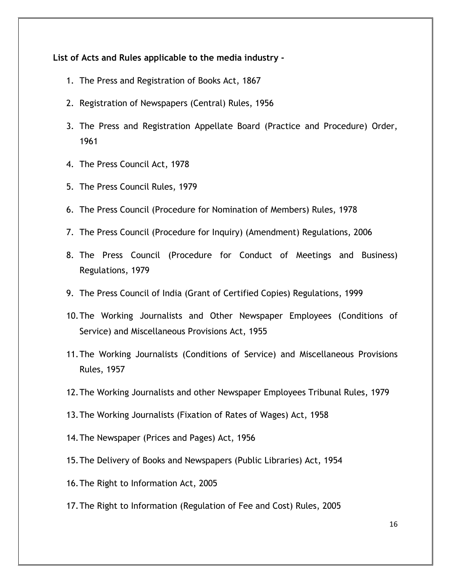**List of Acts and Rules applicable to the media industry -** 

- 1. The Press and Registration of Books Act, 1867
- 2. Registration of Newspapers (Central) Rules, 1956
- 3. The Press and Registration Appellate Board (Practice and Procedure) Order, 1961
- 4. The Press Council Act, 1978
- 5. The Press Council Rules, 1979
- 6. The Press Council (Procedure for Nomination of Members) Rules, 1978
- 7. The Press Council (Procedure for Inquiry) (Amendment) Regulations, 2006
- 8. The Press Council (Procedure for Conduct of Meetings and Business) Regulations, 1979
- 9. The Press Council of India (Grant of Certified Copies) Regulations, 1999
- 10.The Working Journalists and Other Newspaper Employees (Conditions of Service) and Miscellaneous Provisions Act, 1955
- 11.The Working Journalists (Conditions of Service) and Miscellaneous Provisions Rules, 1957
- 12.The Working Journalists and other Newspaper Employees Tribunal Rules, 1979
- 13.The Working Journalists (Fixation of Rates of Wages) Act, 1958
- 14.The Newspaper (Prices and Pages) Act, 1956
- 15.The Delivery of Books and Newspapers (Public Libraries) Act, 1954
- 16.The Right to Information Act, 2005
- 17.The Right to Information (Regulation of Fee and Cost) Rules, 2005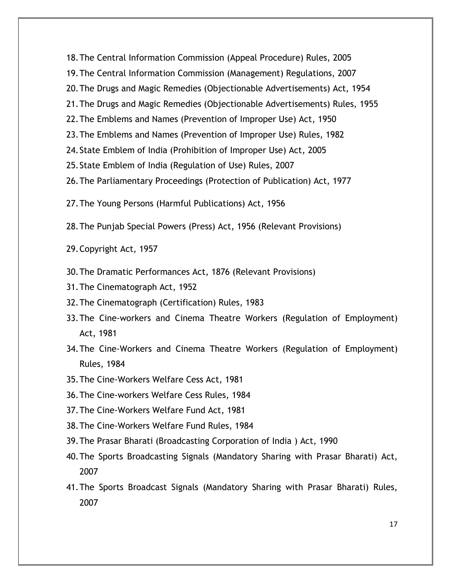- 18.The Central Information Commission (Appeal Procedure) Rules, 2005
- 19.The Central Information Commission (Management) Regulations, 2007
- 20.The Drugs and Magic Remedies (Objectionable Advertisements) Act, 1954
- 21.The Drugs and Magic Remedies (Objectionable Advertisements) Rules, 1955
- 22.The Emblems and Names (Prevention of Improper Use) Act, 1950
- 23.The Emblems and Names (Prevention of Improper Use) Rules, 1982
- 24.State Emblem of India (Prohibition of Improper Use) Act, 2005
- 25.State Emblem of India (Regulation of Use) Rules, 2007
- 26.The Parliamentary Proceedings (Protection of Publication) Act, 1977
- 27.The Young Persons (Harmful Publications) Act, 1956
- 28.The Punjab Special Powers (Press) Act, 1956 (Relevant Provisions)
- 29.Copyright Act, 1957
- 30.The Dramatic Performances Act, 1876 (Relevant Provisions)
- 31.The Cinematograph Act, 1952
- 32.The Cinematograph (Certification) Rules, 1983
- 33.The Cine-workers and Cinema Theatre Workers (Regulation of Employment) Act, 1981
- 34.The Cine-Workers and Cinema Theatre Workers (Regulation of Employment) Rules, 1984
- 35.The Cine-Workers Welfare Cess Act, 1981
- 36.The Cine-workers Welfare Cess Rules, 1984
- 37.The Cine-Workers Welfare Fund Act, 1981
- 38.The Cine-Workers Welfare Fund Rules, 1984
- 39.The Prasar Bharati (Broadcasting Corporation of India ) Act, 1990
- 40.The Sports Broadcasting Signals (Mandatory Sharing with Prasar Bharati) Act, 2007
- 41.The Sports Broadcast Signals (Mandatory Sharing with Prasar Bharati) Rules, 2007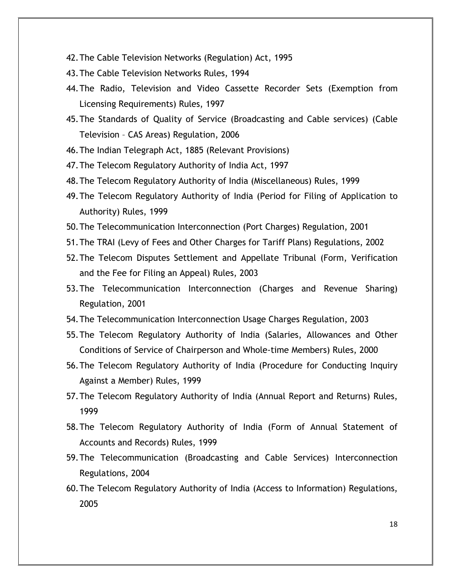- 42.The Cable Television Networks (Regulation) Act, 1995
- 43.The Cable Television Networks Rules, 1994
- 44.The Radio, Television and Video Cassette Recorder Sets (Exemption from Licensing Requirements) Rules, 1997
- 45.The Standards of Quality of Service (Broadcasting and Cable services) (Cable Television – CAS Areas) Regulation, 2006
- 46.The Indian Telegraph Act, 1885 (Relevant Provisions)
- 47.The Telecom Regulatory Authority of India Act, 1997
- 48.The Telecom Regulatory Authority of India (Miscellaneous) Rules, 1999
- 49.The Telecom Regulatory Authority of India (Period for Filing of Application to Authority) Rules, 1999
- 50.The Telecommunication Interconnection (Port Charges) Regulation, 2001
- 51.The TRAI (Levy of Fees and Other Charges for Tariff Plans) Regulations, 2002
- 52.The Telecom Disputes Settlement and Appellate Tribunal (Form, Verification and the Fee for Filing an Appeal) Rules, 2003
- 53.The Telecommunication Interconnection (Charges and Revenue Sharing) Regulation, 2001
- 54.The Telecommunication Interconnection Usage Charges Regulation, 2003
- 55.The Telecom Regulatory Authority of India (Salaries, Allowances and Other Conditions of Service of Chairperson and Whole-time Members) Rules, 2000
- 56.The Telecom Regulatory Authority of India (Procedure for Conducting Inquiry Against a Member) Rules, 1999
- 57.The Telecom Regulatory Authority of India (Annual Report and Returns) Rules, 1999
- 58.The Telecom Regulatory Authority of India (Form of Annual Statement of Accounts and Records) Rules, 1999
- 59.The Telecommunication (Broadcasting and Cable Services) Interconnection Regulations, 2004
- 60.The Telecom Regulatory Authority of India (Access to Information) Regulations, 2005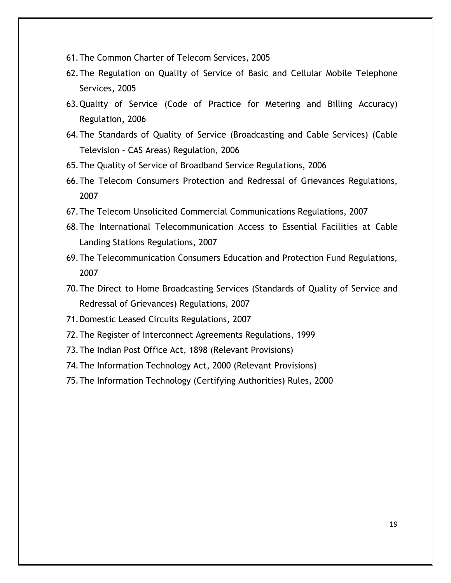- 61.The Common Charter of Telecom Services, 2005
- 62.The Regulation on Quality of Service of Basic and Cellular Mobile Telephone Services, 2005
- 63.Quality of Service (Code of Practice for Metering and Billing Accuracy) Regulation, 2006
- 64.The Standards of Quality of Service (Broadcasting and Cable Services) (Cable Television – CAS Areas) Regulation, 2006
- 65.The Quality of Service of Broadband Service Regulations, 2006
- 66.The Telecom Consumers Protection and Redressal of Grievances Regulations, 2007
- 67.The Telecom Unsolicited Commercial Communications Regulations, 2007
- 68.The International Telecommunication Access to Essential Facilities at Cable Landing Stations Regulations, 2007
- 69.The Telecommunication Consumers Education and Protection Fund Regulations, 2007
- 70.The Direct to Home Broadcasting Services (Standards of Quality of Service and Redressal of Grievances) Regulations, 2007
- 71.Domestic Leased Circuits Regulations, 2007
- 72.The Register of Interconnect Agreements Regulations, 1999
- 73.The Indian Post Office Act, 1898 (Relevant Provisions)
- 74.The Information Technology Act, 2000 (Relevant Provisions)
- 75.The Information Technology (Certifying Authorities) Rules, 2000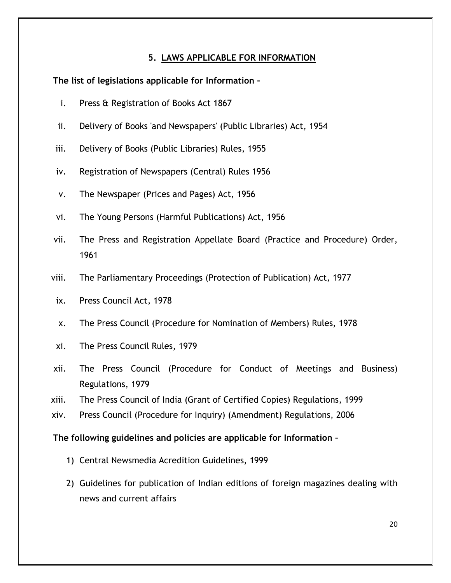# **5. LAWS APPLICABLE FOR INFORMATION**

# **The list of legislations applicable for Information –**

- i. Press & Registration of Books Act 1867
- ii. Delivery of Books 'and Newspapers' (Public Libraries) Act, 1954
- iii. Delivery of Books (Public Libraries) Rules, 1955
- iv. Registration of Newspapers (Central) Rules 1956
- v. The Newspaper (Prices and Pages) Act, 1956
- vi. The Young Persons (Harmful Publications) Act, 1956
- vii. The Press and Registration Appellate Board (Practice and Procedure) Order, 1961
- viii. The Parliamentary Proceedings (Protection of Publication) Act, 1977
- ix. Press Council Act, 1978
- x. The Press Council (Procedure for Nomination of Members) Rules, 1978
- xi. The Press Council Rules, 1979
- xii. The Press Council (Procedure for Conduct of Meetings and Business) Regulations, 1979
- xiii. The Press Council of India (Grant of Certified Copies) Regulations, 1999
- xiv. Press Council (Procedure for Inquiry) (Amendment) Regulations, 2006

# **The following guidelines and policies are applicable for Information –**

- 1) Central Newsmedia Acredition Guidelines, 1999
- 2) Guidelines for publication of Indian editions of foreign magazines dealing with news and current affairs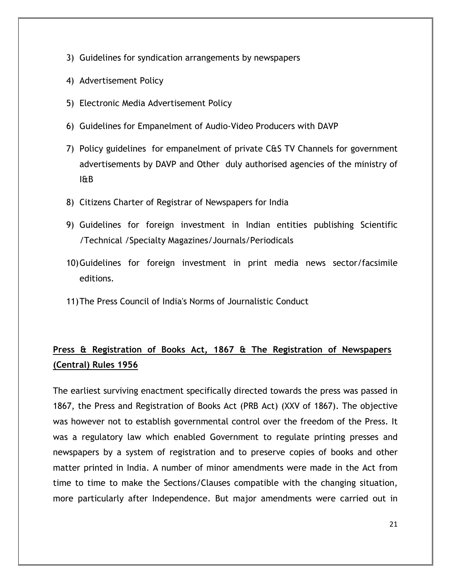- 3) Guidelines for syndication arrangements by newspapers
- 4) Advertisement Policy
- 5) Electronic Media Advertisement Policy
- 6) Guidelines for Empanelment of Audio-Video Producers with DAVP
- 7) Policy guidelines for empanelment of private C&S TV Channels for government advertisements by DAVP and Other duly authorised agencies of the ministry of I&B
- 8) Citizens Charter of Registrar of Newspapers for India
- 9) Guidelines for foreign investment in Indian entities publishing Scientific /Technical /Specialty Magazines/Journals/Periodicals
- 10)Guidelines for foreign investment in print media news sector/facsimile editions.
- 11)The Press Council of India's Norms of Journalistic Conduct

# **Press & Registration of Books Act, 1867 & The Registration of Newspapers (Central) Rules 1956**

The earliest surviving enactment specifically directed towards the press was passed in 1867, the Press and Registration of Books Act (PRB Act) (XXV of 1867). The objective was however not to establish governmental control over the freedom of the Press. It was a regulatory law which enabled Government to regulate printing presses and newspapers by a system of registration and to preserve copies of books and other matter printed in India. A number of minor amendments were made in the Act from time to time to make the Sections/Clauses compatible with the changing situation, more particularly after Independence. But major amendments were carried out in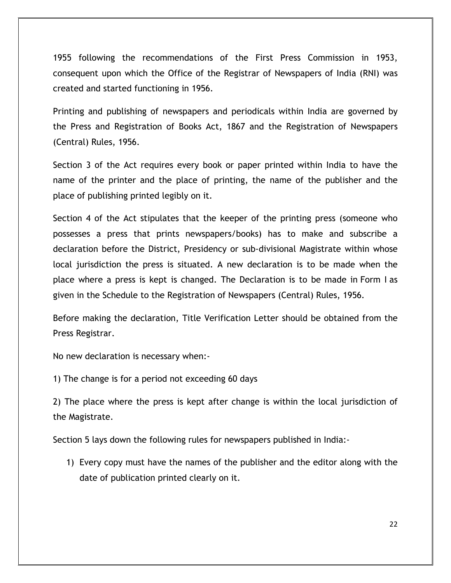1955 following the recommendations of the First Press Commission in 1953, consequent upon which the Office of the Registrar of Newspapers of India (RNI) was created and started functioning in 1956.

Printing and publishing of newspapers and periodicals within India are governed by the Press and Registration of Books Act, 1867 and the Registration of Newspapers (Central) Rules, 1956.

Section 3 of the Act requires every book or paper printed within India to have the name of the printer and the place of printing, the name of the publisher and the place of publishing printed legibly on it.

Section 4 of the Act stipulates that the keeper of the printing press (someone who possesses a press that prints newspapers/books) has to make and subscribe a declaration before the District, Presidency or sub-divisional Magistrate within whose local jurisdiction the press is situated. A new declaration is to be made when the place where a press is kept is changed. The Declaration is to be made in Form I as given in the Schedule to the Registration of Newspapers (Central) Rules, 1956.

Before making the declaration, Title Verification Letter should be obtained from the Press Registrar.

No new declaration is necessary when:-

1) The change is for a period not exceeding 60 days

2) The place where the press is kept after change is within the local jurisdiction of the Magistrate.

Section 5 lays down the following rules for newspapers published in India:-

1) Every copy must have the names of the publisher and the editor along with the date of publication printed clearly on it.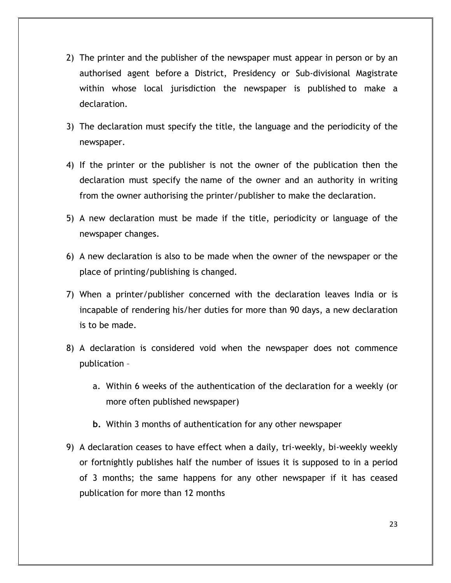- 2) The printer and the publisher of the newspaper must appear in person or by an authorised agent before a District, Presidency or Sub-divisional Magistrate within whose local jurisdiction the newspaper is published to make a declaration.
- 3) The declaration must specify the title, the language and the periodicity of the newspaper.
- 4) If the printer or the publisher is not the owner of the publication then the declaration must specify the name of the owner and an authority in writing from the owner authorising the printer/publisher to make the declaration.
- 5) A new declaration must be made if the title, periodicity or language of the newspaper changes.
- 6) A new declaration is also to be made when the owner of the newspaper or the place of printing/publishing is changed.
- 7) When a printer/publisher concerned with the declaration leaves India or is incapable of rendering his/her duties for more than 90 days, a new declaration is to be made.
- 8) A declaration is considered void when the newspaper does not commence publication –
	- a. Within 6 weeks of the authentication of the declaration for a weekly (or more often published newspaper)
	- **b.** Within 3 months of authentication for any other newspaper
- 9) A declaration ceases to have effect when a daily, tri-weekly, bi-weekly weekly or fortnightly publishes half the number of issues it is supposed to in a period of 3 months; the same happens for any other newspaper if it has ceased publication for more than 12 months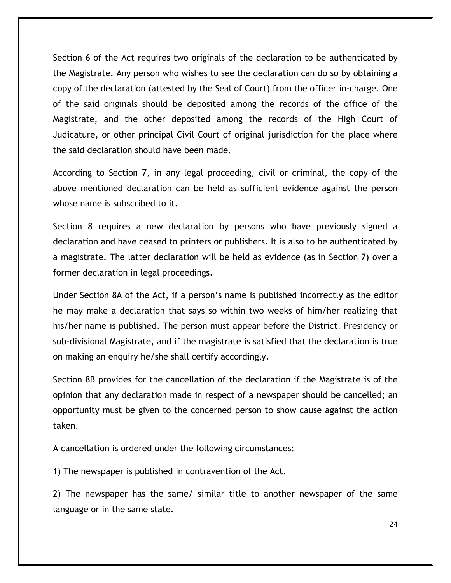Section 6 of the Act requires two originals of the declaration to be authenticated by the Magistrate. Any person who wishes to see the declaration can do so by obtaining a copy of the declaration (attested by the Seal of Court) from the officer in-charge. One of the said originals should be deposited among the records of the office of the Magistrate, and the other deposited among the records of the High Court of Judicature, or other principal Civil Court of original jurisdiction for the place where the said declaration should have been made.

According to Section 7, in any legal proceeding, civil or criminal, the copy of the above mentioned declaration can be held as sufficient evidence against the person whose name is subscribed to it.

Section 8 requires a new declaration by persons who have previously signed a declaration and have ceased to printers or publishers. It is also to be authenticated by a magistrate. The latter declaration will be held as evidence (as in Section 7) over a former declaration in legal proceedings.

Under Section 8A of the Act, if a person's name is published incorrectly as the editor he may make a declaration that says so within two weeks of him/her realizing that his/her name is published. The person must appear before the District, Presidency or sub-divisional Magistrate, and if the magistrate is satisfied that the declaration is true on making an enquiry he/she shall certify accordingly.

Section 8B provides for the cancellation of the declaration if the Magistrate is of the opinion that any declaration made in respect of a newspaper should be cancelled; an opportunity must be given to the concerned person to show cause against the action taken.

A cancellation is ordered under the following circumstances:

1) The newspaper is published in contravention of the Act.

2) The newspaper has the same/ similar title to another newspaper of the same language or in the same state.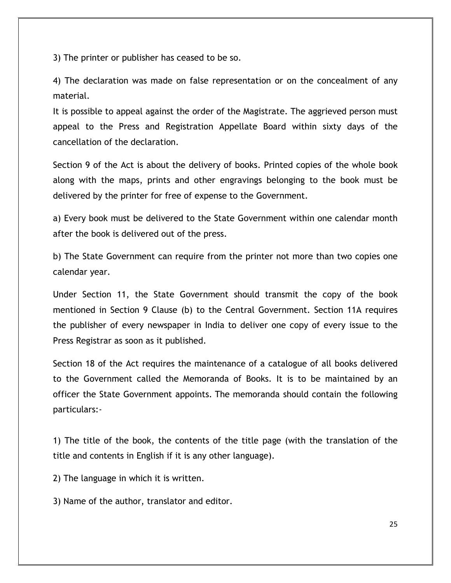3) The printer or publisher has ceased to be so.

4) The declaration was made on false representation or on the concealment of any material.

It is possible to appeal against the order of the Magistrate. The aggrieved person must appeal to the Press and Registration Appellate Board within sixty days of the cancellation of the declaration.

Section 9 of the Act is about the delivery of books. Printed copies of the whole book along with the maps, prints and other engravings belonging to the book must be delivered by the printer for free of expense to the Government.

a) Every book must be delivered to the State Government within one calendar month after the book is delivered out of the press.

b) The State Government can require from the printer not more than two copies one calendar year.

Under Section 11, the State Government should transmit the copy of the book mentioned in Section 9 Clause (b) to the Central Government. Section 11A requires the publisher of every newspaper in India to deliver one copy of every issue to the Press Registrar as soon as it published.

Section 18 of the Act requires the maintenance of a catalogue of all books delivered to the Government called the Memoranda of Books. It is to be maintained by an officer the State Government appoints. The memoranda should contain the following particulars:-

1) The title of the book, the contents of the title page (with the translation of the title and contents in English if it is any other language).

2) The language in which it is written.

3) Name of the author, translator and editor.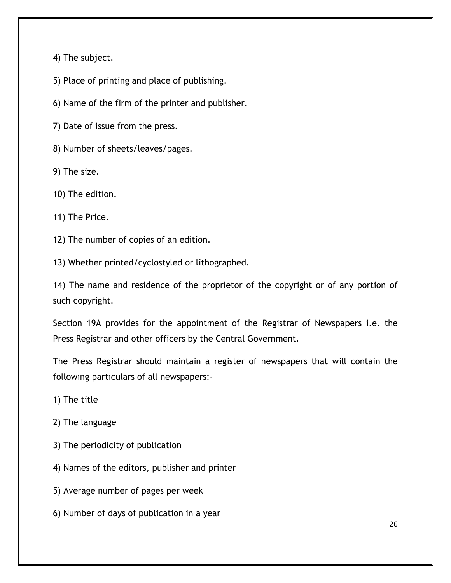4) The subject.

5) Place of printing and place of publishing.

6) Name of the firm of the printer and publisher.

7) Date of issue from the press.

8) Number of sheets/leaves/pages.

9) The size.

10) The edition.

11) The Price.

12) The number of copies of an edition.

13) Whether printed/cyclostyled or lithographed.

14) The name and residence of the proprietor of the copyright or of any portion of such copyright.

Section 19A provides for the appointment of the Registrar of Newspapers i.e. the Press Registrar and other officers by the Central Government.

The Press Registrar should maintain a register of newspapers that will contain the following particulars of all newspapers:-

1) The title

2) The language

3) The periodicity of publication

4) Names of the editors, publisher and printer

5) Average number of pages per week

6) Number of days of publication in a year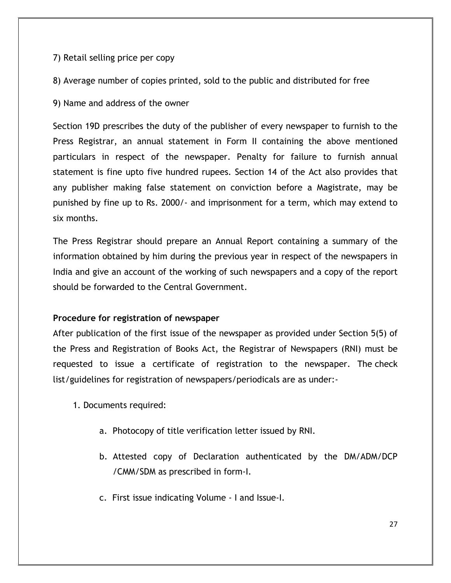7) Retail selling price per copy

8) Average number of copies printed, sold to the public and distributed for free

9) Name and address of the owner

Section 19D prescribes the duty of the publisher of every newspaper to furnish to the Press Registrar, an annual statement in Form II containing the above mentioned particulars in respect of the newspaper. Penalty for failure to furnish annual statement is fine upto five hundred rupees. Section 14 of the Act also provides that any publisher making false statement on conviction before a Magistrate, may be punished by fine up to Rs. 2000/- and imprisonment for a term, which may extend to six months.

The Press Registrar should prepare an Annual Report containing a summary of the information obtained by him during the previous year in respect of the newspapers in India and give an account of the working of such newspapers and a copy of the report should be forwarded to the Central Government.

# **Procedure for registration of newspaper**

After publication of the first issue of the newspaper as provided under Section 5(5) of the Press and Registration of Books Act, the Registrar of Newspapers (RNI) must be requested to issue a certificate of registration to the newspaper. The check list/guidelines for registration of newspapers/periodicals are as under:-

- 1. Documents required:
	- a. Photocopy of title verification letter issued by RNI.
	- b. Attested copy of Declaration authenticated by the DM/ADM/DCP /CMM/SDM as prescribed in form-I.
	- c. First issue indicating Volume I and Issue-I.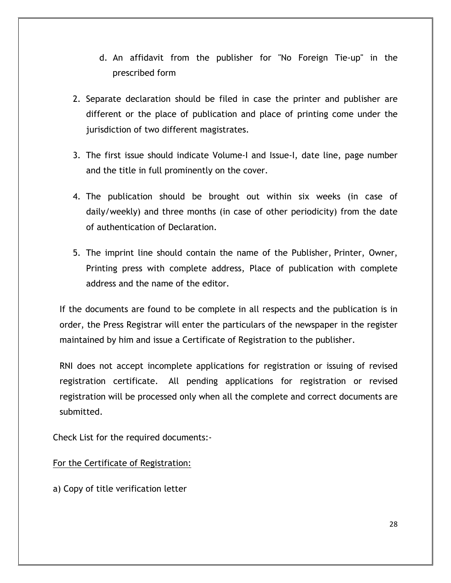- d. An affidavit from the publisher for "No Foreign Tie-up" in the prescribed form
- 2. Separate declaration should be filed in case the printer and publisher are different or the place of publication and place of printing come under the jurisdiction of two different magistrates.
- 3. The first issue should indicate Volume-I and Issue-I, date line, page number and the title in full prominently on the cover.
- 4. The publication should be brought out within six weeks (in case of daily/weekly) and three months (in case of other periodicity) from the date of authentication of Declaration.
- 5. The imprint line should contain the name of the Publisher, Printer, Owner, Printing press with complete address, Place of publication with complete address and the name of the editor.

If the documents are found to be complete in all respects and the publication is in order, the Press Registrar will enter the particulars of the newspaper in the register maintained by him and issue a Certificate of Registration to the publisher.

RNI does not accept incomplete applications for registration or issuing of revised registration certificate. All pending applications for registration or revised registration will be processed only when all the complete and correct documents are submitted.

Check List for the required documents:-

For the Certificate of Registration:

a) Copy of title verification letter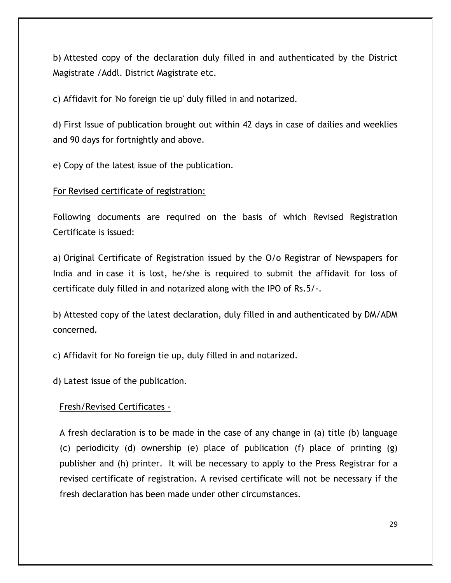b) Attested copy of the declaration duly filled in and authenticated by the District Magistrate /Addl. District Magistrate etc.

c) Affidavit for 'No foreign tie up' duly filled in and notarized.

d) First Issue of publication brought out within 42 days in case of dailies and weeklies and 90 days for fortnightly and above.

e) Copy of the latest issue of the publication.

For Revised certificate of registration:

Following documents are required on the basis of which Revised Registration Certificate is issued:

a) Original Certificate of Registration issued by the O/o Registrar of Newspapers for India and in case it is lost, he/she is required to submit the affidavit for loss of certificate duly filled in and notarized along with the IPO of Rs.5/-.

b) Attested copy of the latest declaration, duly filled in and authenticated by DM/ADM concerned.

c) Affidavit for No foreign tie up, duly filled in and notarized.

d) Latest issue of the publication.

# Fresh/Revised Certificates -

A fresh declaration is to be made in the case of any change in (a) title (b) language (c) periodicity (d) ownership (e) place of publication (f) place of printing (g) publisher and (h) printer. It will be necessary to apply to the Press Registrar for a revised certificate of registration. A revised certificate will not be necessary if the fresh declaration has been made under other circumstances.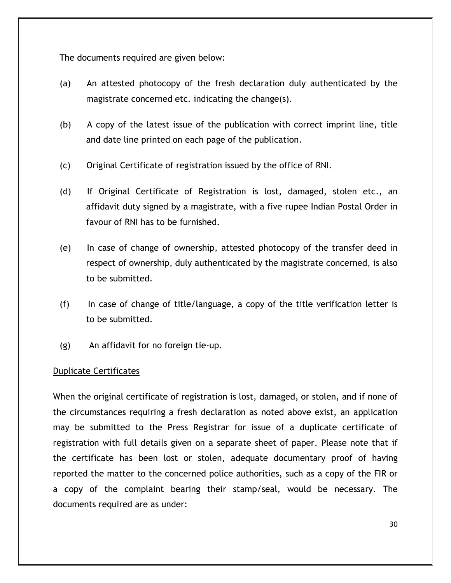The documents required are given below:

- (a) An attested photocopy of the fresh declaration duly authenticated by the magistrate concerned etc. indicating the change(s).
- (b) A copy of the latest issue of the publication with correct imprint line, title and date line printed on each page of the publication.
- (c) Original Certificate of registration issued by the office of RNI.
- (d) If Original Certificate of Registration is lost, damaged, stolen etc., an affidavit duty signed by a magistrate, with a five rupee Indian Postal Order in favour of RNI has to be furnished.
- (e) In case of change of ownership, attested photocopy of the transfer deed in respect of ownership, duly authenticated by the magistrate concerned, is also to be submitted.
- $(f)$  In case of change of title/language, a copy of the title verification letter is to be submitted.
- (g) An affidavit for no foreign tie-up.

# Duplicate Certificates

When the original certificate of registration is lost, damaged, or stolen, and if none of the circumstances requiring a fresh declaration as noted above exist, an application may be submitted to the Press Registrar for issue of a duplicate certificate of registration with full details given on a separate sheet of paper. Please note that if the certificate has been lost or stolen, adequate documentary proof of having reported the matter to the concerned police authorities, such as a copy of the FIR or a copy of the complaint bearing their stamp/seal, would be necessary. The documents required are as under: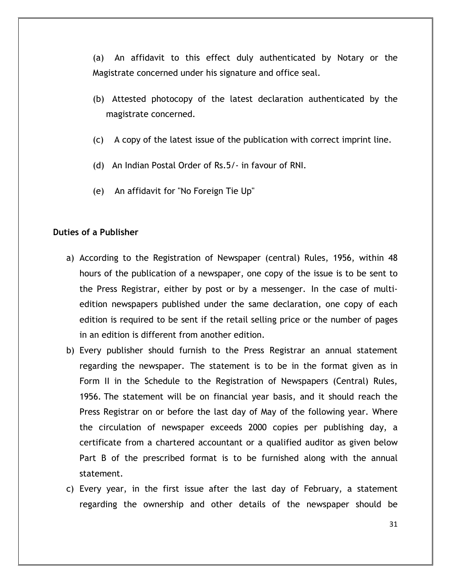(a) An affidavit to this effect duly authenticated by Notary or the Magistrate concerned under his signature and office seal.

- (b) Attested photocopy of the latest declaration authenticated by the magistrate concerned.
- (c) A copy of the latest issue of the publication with correct imprint line.
- (d) An Indian Postal Order of Rs.5/- in favour of RNI.
- (e) An affidavit for "No Foreign Tie Up"

### **Duties of a Publisher**

- a) According to the Registration of Newspaper (central) Rules, 1956, within 48 hours of the publication of a newspaper, one copy of the issue is to be sent to the Press Registrar, either by post or by a messenger. In the case of multiedition newspapers published under the same declaration, one copy of each edition is required to be sent if the retail selling price or the number of pages in an edition is different from another edition.
- b) Every publisher should furnish to the Press Registrar an annual statement regarding the newspaper. The statement is to be in the format given as in Form II in the Schedule to the Registration of Newspapers (Central) Rules, 1956. The statement will be on financial year basis, and it should reach the Press Registrar on or before the last day of May of the following year. Where the circulation of newspaper exceeds 2000 copies per publishing day, a certificate from a chartered accountant or a qualified auditor as given below Part B of the prescribed format is to be furnished along with the annual statement.
- c) Every year, in the first issue after the last day of February, a statement regarding the ownership and other details of the newspaper should be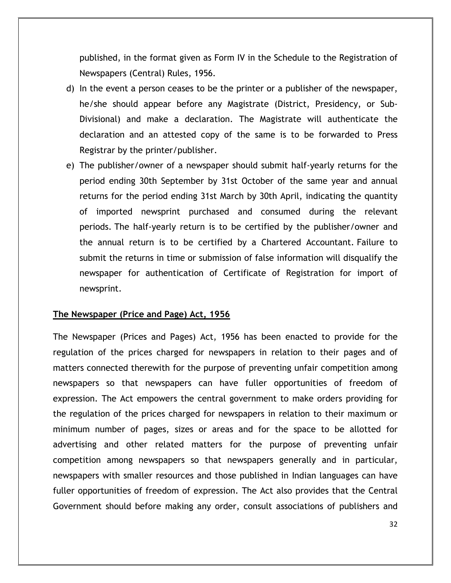published, in the format given as Form IV in the Schedule to the Registration of Newspapers (Central) Rules, 1956.

- d) In the event a person ceases to be the printer or a publisher of the newspaper, he/she should appear before any Magistrate (District, Presidency, or Sub-Divisional) and make a declaration. The Magistrate will authenticate the declaration and an attested copy of the same is to be forwarded to Press Registrar by the printer/publisher.
- e) The publisher/owner of a newspaper should submit half-yearly returns for the period ending 30th September by 31st October of the same year and annual returns for the period ending 31st March by 30th April, indicating the quantity of imported newsprint purchased and consumed during the relevant periods. The half-yearly return is to be certified by the publisher/owner and the annual return is to be certified by a Chartered Accountant. Failure to submit the returns in time or submission of false information will disqualify the newspaper for authentication of Certificate of Registration for import of newsprint.

# **The Newspaper (Price and Page) Act, 1956**

The Newspaper (Prices and Pages) Act, 1956 has been enacted to provide for the regulation of the prices charged for newspapers in relation to their pages and of matters connected therewith for the purpose of preventing unfair competition among newspapers so that newspapers can have fuller opportunities of freedom of expression. The Act empowers the central government to make orders providing for the regulation of the prices charged for newspapers in relation to their maximum or minimum number of pages, sizes or areas and for the space to be allotted for advertising and other related matters for the purpose of preventing unfair competition among newspapers so that newspapers generally and in particular, newspapers with smaller resources and those published in Indian languages can have fuller opportunities of freedom of expression. The Act also provides that the Central Government should before making any order, consult associations of publishers and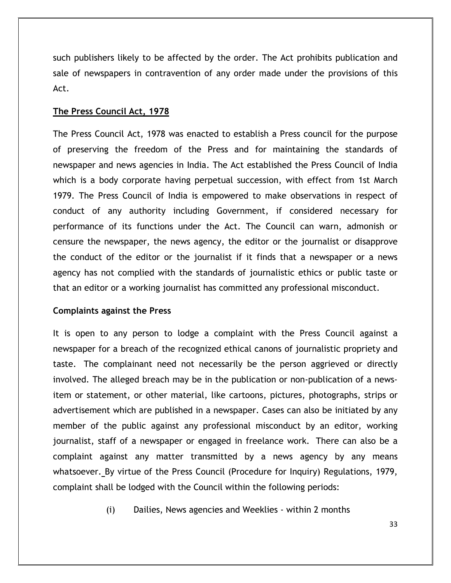such publishers likely to be affected by the order. The Act prohibits publication and sale of newspapers in contravention of any order made under the provisions of this Act.

# **The Press Council Act, 1978**

The Press Council Act, 1978 was enacted to establish a Press council for the purpose of preserving the freedom of the Press and for maintaining the standards of newspaper and news agencies in India. The Act established the Press Council of India which is a body corporate having perpetual succession, with effect from 1st March 1979. The Press Council of India is empowered to make observations in respect of conduct of any authority including Government, if considered necessary for performance of its functions under the Act. The Council can warn, admonish or censure the newspaper, the news agency, the editor or the journalist or disapprove the conduct of the editor or the journalist if it finds that a newspaper or a news agency has not complied with the standards of journalistic ethics or public taste or that an editor or a working journalist has committed any professional misconduct.

# **Complaints against the Press**

It is open to any person to lodge a complaint with the Press Council against a newspaper for a breach of the recognized ethical canons of journalistic propriety and taste. The complainant need not necessarily be the person aggrieved or directly involved. The alleged breach may be in the publication or non-publication of a newsitem or statement, or other material, like cartoons, pictures, photographs, strips or advertisement which are published in a newspaper. Cases can also be initiated by any member of the public against any professional misconduct by an editor, working journalist, staff of a newspaper or engaged in freelance work. There can also be a complaint against any matter transmitted by a news agency by any means whatsoever. By virtue of the Press Council (Procedure for Inquiry) Regulations, 1979, complaint shall be lodged with the Council within the following periods:

(i) Dailies, News agencies and Weeklies - within 2 months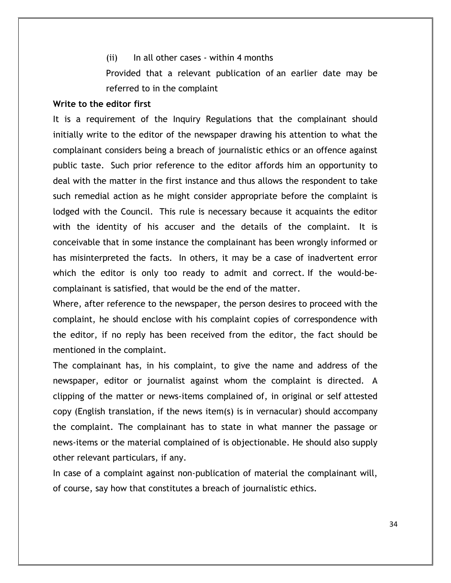(ii) In all other cases - within 4 months Provided that a relevant publication of an earlier date may be referred to in the complaint

#### **Write to the editor first**

It is a requirement of the Inquiry Regulations that the complainant should initially write to the editor of the newspaper drawing his attention to what the complainant considers being a breach of journalistic ethics or an offence against public taste. Such prior reference to the editor affords him an opportunity to deal with the matter in the first instance and thus allows the respondent to take such remedial action as he might consider appropriate before the complaint is lodged with the Council. This rule is necessary because it acquaints the editor with the identity of his accuser and the details of the complaint. It is conceivable that in some instance the complainant has been wrongly informed or has misinterpreted the facts. In others, it may be a case of inadvertent error which the editor is only too ready to admit and correct. If the would-becomplainant is satisfied, that would be the end of the matter.

Where, after reference to the newspaper, the person desires to proceed with the complaint, he should enclose with his complaint copies of correspondence with the editor, if no reply has been received from the editor, the fact should be mentioned in the complaint.

The complainant has, in his complaint, to give the name and address of the newspaper, editor or journalist against whom the complaint is directed. A clipping of the matter or news-items complained of, in original or self attested copy (English translation, if the news item(s) is in vernacular) should accompany the complaint. The complainant has to state in what manner the passage or news-items or the material complained of is objectionable. He should also supply other relevant particulars, if any.

In case of a complaint against non-publication of material the complainant will, of course, say how that constitutes a breach of journalistic ethics.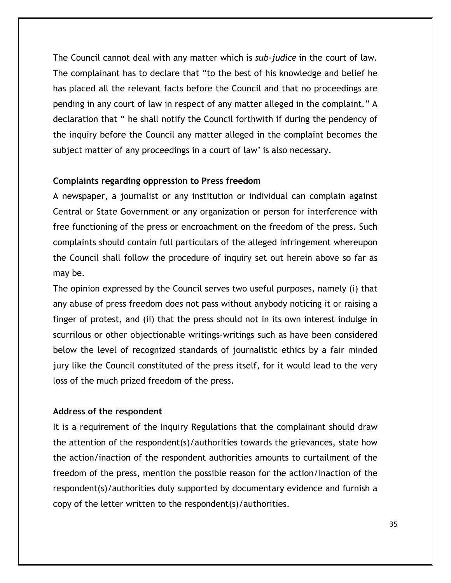The Council cannot deal with any matter which is *sub-judice* in the court of law. The complainant has to declare that "to the best of his knowledge and belief he has placed all the relevant facts before the Council and that no proceedings are pending in any court of law in respect of any matter alleged in the complaint." A declaration that " he shall notify the Council forthwith if during the pendency of the inquiry before the Council any matter alleged in the complaint becomes the subject matter of any proceedings in a court of law" is also necessary.

### **Complaints regarding oppression to Press freedom**

A newspaper, a journalist or any institution or individual can complain against Central or State Government or any organization or person for interference with free functioning of the press or encroachment on the freedom of the press. Such complaints should contain full particulars of the alleged infringement whereupon the Council shall follow the procedure of inquiry set out herein above so far as may be.

The opinion expressed by the Council serves two useful purposes, namely (i) that any abuse of press freedom does not pass without anybody noticing it or raising a finger of protest, and (ii) that the press should not in its own interest indulge in scurrilous or other objectionable writings-writings such as have been considered below the level of recognized standards of journalistic ethics by a fair minded jury like the Council constituted of the press itself, for it would lead to the very loss of the much prized freedom of the press.

### **Address of the respondent**

It is a requirement of the Inquiry Regulations that the complainant should draw the attention of the respondent(s)/authorities towards the grievances, state how the action/inaction of the respondent authorities amounts to curtailment of the freedom of the press, mention the possible reason for the action/inaction of the respondent(s)/authorities duly supported by documentary evidence and furnish a copy of the letter written to the respondent(s)/authorities.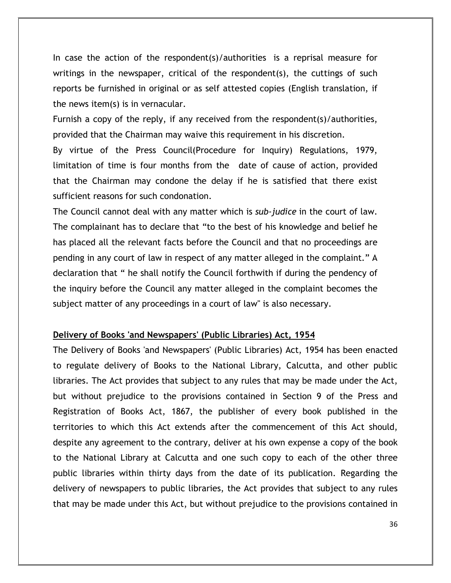In case the action of the respondent(s)/authorities is a reprisal measure for writings in the newspaper, critical of the respondent(s), the cuttings of such reports be furnished in original or as self attested copies (English translation, if the news item(s) is in vernacular.

Furnish a copy of the reply, if any received from the respondent(s)/authorities, provided that the Chairman may waive this requirement in his discretion.

By virtue of the Press Council(Procedure for Inquiry) Regulations, 1979, limitation of time is four months from the date of cause of action, provided that the Chairman may condone the delay if he is satisfied that there exist sufficient reasons for such condonation.

The Council cannot deal with any matter which is *sub-judice* in the court of law. The complainant has to declare that "to the best of his knowledge and belief he has placed all the relevant facts before the Council and that no proceedings are pending in any court of law in respect of any matter alleged in the complaint." A declaration that " he shall notify the Council forthwith if during the pendency of the inquiry before the Council any matter alleged in the complaint becomes the subject matter of any proceedings in a court of law" is also necessary.

### **Delivery of Books 'and Newspapers' (Public Libraries) Act, 1954**

The Delivery of Books 'and Newspapers' (Public Libraries) Act, 1954 has been enacted to regulate delivery of Books to the National Library, Calcutta, and other public libraries. The Act provides that subject to any rules that may be made under the Act, but without prejudice to the provisions contained in Section 9 of the Press and Registration of Books Act, 1867, the publisher of every book published in the territories to which this Act extends after the commencement of this Act should, despite any agreement to the contrary, deliver at his own expense a copy of the book to the National Library at Calcutta and one such copy to each of the other three public libraries within thirty days from the date of its publication. Regarding the delivery of newspapers to public libraries, the Act provides that subject to any rules that may be made under this Act, but without prejudice to the provisions contained in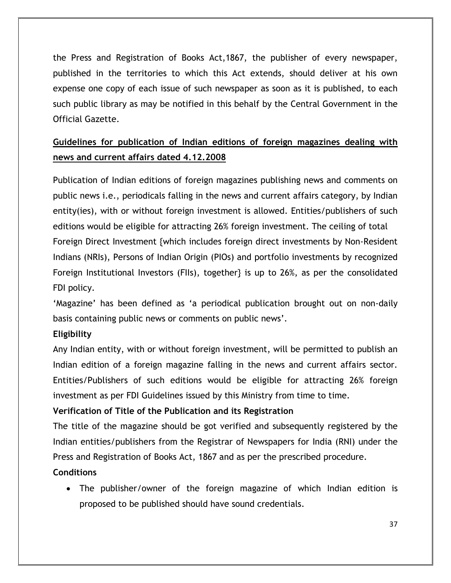the Press and Registration of Books Act,1867, the publisher of every newspaper, published in the territories to which this Act extends, should deliver at his own expense one copy of each issue of such newspaper as soon as it is published, to each such public library as may be notified in this behalf by the Central Government in the Official Gazette.

# **Guidelines for publication of Indian editions of foreign magazines dealing with news and current affairs dated 4.12.2008**

Publication of Indian editions of foreign magazines publishing news and comments on public news i.e., periodicals falling in the news and current affairs category, by Indian entity(ies), with or without foreign investment is allowed. Entities/publishers of such editions would be eligible for attracting 26% foreign investment. The ceiling of total Foreign Direct Investment {which includes foreign direct investments by Non-Resident Indians (NRIs), Persons of Indian Origin (PIOs) and portfolio investments by recognized Foreign Institutional Investors (FIIs), together} is up to 26%, as per the consolidated FDI policy.

'Magazine' has been defined as 'a periodical publication brought out on non-daily basis containing public news or comments on public news'.

# **Eligibility**

Any Indian entity, with or without foreign investment, will be permitted to publish an Indian edition of a foreign magazine falling in the news and current affairs sector. Entities/Publishers of such editions would be eligible for attracting 26% foreign investment as per FDI Guidelines issued by this Ministry from time to time.

# **Verification of Title of the Publication and its Registration**

The title of the magazine should be got verified and subsequently registered by the Indian entities/publishers from the Registrar of Newspapers for India (RNI) under the Press and Registration of Books Act, 1867 and as per the prescribed procedure.

# **Conditions**

• The publisher/owner of the foreign magazine of which Indian edition is proposed to be published should have sound credentials.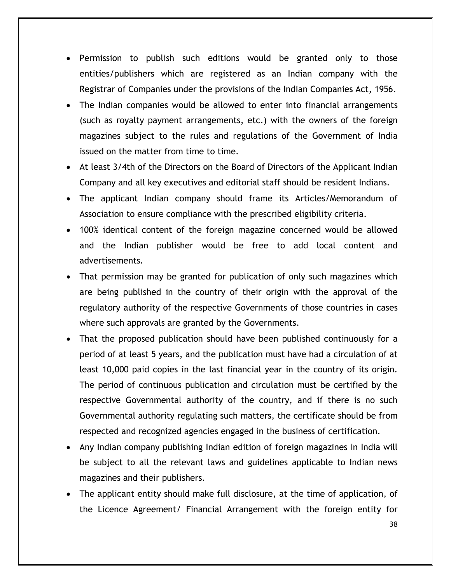- Permission to publish such editions would be granted only to those entities/publishers which are registered as an Indian company with the Registrar of Companies under the provisions of the Indian Companies Act, 1956.
- The Indian companies would be allowed to enter into financial arrangements (such as royalty payment arrangements, etc.) with the owners of the foreign magazines subject to the rules and regulations of the Government of India issued on the matter from time to time.
- At least 3/4th of the Directors on the Board of Directors of the Applicant Indian Company and all key executives and editorial staff should be resident Indians.
- The applicant Indian company should frame its Articles/Memorandum of Association to ensure compliance with the prescribed eligibility criteria.
- 100% identical content of the foreign magazine concerned would be allowed and the Indian publisher would be free to add local content and advertisements.
- That permission may be granted for publication of only such magazines which are being published in the country of their origin with the approval of the regulatory authority of the respective Governments of those countries in cases where such approvals are granted by the Governments.
- That the proposed publication should have been published continuously for a period of at least 5 years, and the publication must have had a circulation of at least 10,000 paid copies in the last financial year in the country of its origin. The period of continuous publication and circulation must be certified by the respective Governmental authority of the country, and if there is no such Governmental authority regulating such matters, the certificate should be from respected and recognized agencies engaged in the business of certification.
- Any Indian company publishing Indian edition of foreign magazines in India will be subject to all the relevant laws and guidelines applicable to Indian news magazines and their publishers.
- The applicant entity should make full disclosure, at the time of application, of the Licence Agreement/ Financial Arrangement with the foreign entity for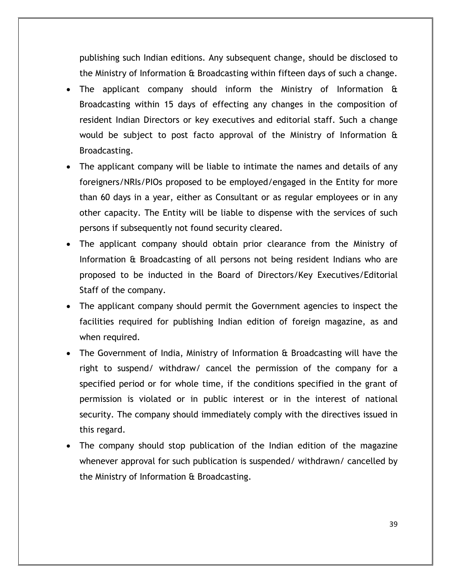publishing such Indian editions. Any subsequent change, should be disclosed to the Ministry of Information & Broadcasting within fifteen days of such a change.

- The applicant company should inform the Ministry of Information & Broadcasting within 15 days of effecting any changes in the composition of resident Indian Directors or key executives and editorial staff. Such a change would be subject to post facto approval of the Ministry of Information & Broadcasting.
- The applicant company will be liable to intimate the names and details of any foreigners/NRIs/PIOs proposed to be employed/engaged in the Entity for more than 60 days in a year, either as Consultant or as regular employees or in any other capacity. The Entity will be liable to dispense with the services of such persons if subsequently not found security cleared.
- The applicant company should obtain prior clearance from the Ministry of Information & Broadcasting of all persons not being resident Indians who are proposed to be inducted in the Board of Directors/Key Executives/Editorial Staff of the company.
- The applicant company should permit the Government agencies to inspect the facilities required for publishing Indian edition of foreign magazine, as and when required.
- The Government of India, Ministry of Information & Broadcasting will have the right to suspend/ withdraw/ cancel the permission of the company for a specified period or for whole time, if the conditions specified in the grant of permission is violated or in public interest or in the interest of national security. The company should immediately comply with the directives issued in this regard.
- The company should stop publication of the Indian edition of the magazine whenever approval for such publication is suspended/ withdrawn/ cancelled by the Ministry of Information & Broadcasting.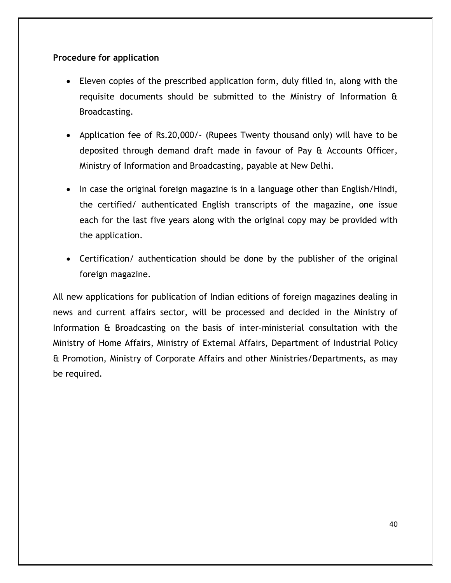## **Procedure for application**

- Eleven copies of the prescribed application form, duly filled in, along with the requisite documents should be submitted to the Ministry of Information & Broadcasting.
- Application fee of Rs.20,000/- (Rupees Twenty thousand only) will have to be deposited through demand draft made in favour of Pay & Accounts Officer, Ministry of Information and Broadcasting, payable at New Delhi.
- In case the original foreign magazine is in a language other than English/Hindi, the certified/ authenticated English transcripts of the magazine, one issue each for the last five years along with the original copy may be provided with the application.
- Certification/ authentication should be done by the publisher of the original foreign magazine.

All new applications for publication of Indian editions of foreign magazines dealing in news and current affairs sector, will be processed and decided in the Ministry of Information & Broadcasting on the basis of inter-ministerial consultation with the Ministry of Home Affairs, Ministry of External Affairs, Department of Industrial Policy & Promotion, Ministry of Corporate Affairs and other Ministries/Departments, as may be required.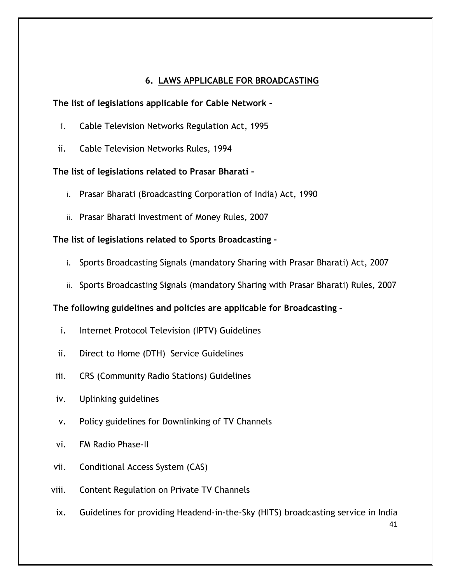## **6. LAWS APPLICABLE FOR BROADCASTING**

#### **The list of legislations applicable for Cable Network –**

- i. Cable Television Networks Regulation Act, 1995
- ii. Cable Television Networks Rules, 1994

**The list of legislations related to Prasar Bharati –** 

- i. Prasar Bharati (Broadcasting Corporation of India) Act, 1990
- ii. Prasar Bharati Investment of Money Rules, 2007

## **The list of legislations related to Sports Broadcasting –**

- i. Sports Broadcasting Signals (mandatory Sharing with Prasar Bharati) Act, 2007
- ii. Sports Broadcasting Signals (mandatory Sharing with Prasar Bharati) Rules, 2007

#### **The following guidelines and policies are applicable for Broadcasting –**

- i. Internet Protocol Television (IPTV) Guidelines
- ii. Direct to Home (DTH) Service Guidelines
- iii. CRS (Community Radio Stations) Guidelines
- iv. Uplinking guidelines
- v. Policy guidelines for Downlinking of TV Channels
- vi. FM Radio Phase-II
- vii. Conditional Access System (CAS)
- viii. Content Regulation on Private TV Channels
- ix. Guidelines for providing Headend-in-the-Sky (HITS) broadcasting service in India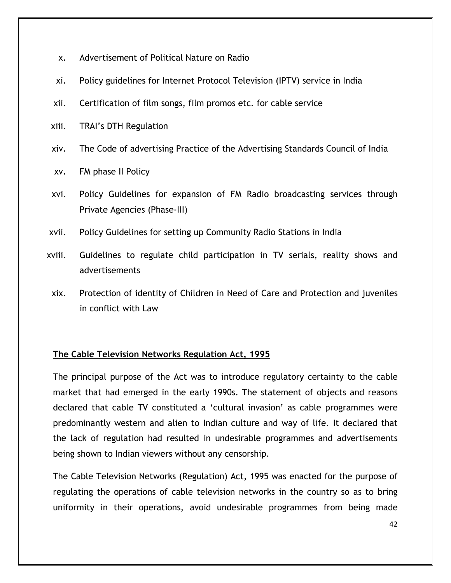- x. Advertisement of Political Nature on Radio
- xi. Policy guidelines for Internet Protocol Television (IPTV) service in India
- xii. Certification of film songs, film promos etc. for cable service
- xiii. TRAI's DTH Regulation
- xiv. The Code of advertising Practice of the Advertising Standards Council of India
- xv. FM phase II Policy
- xvi. Policy Guidelines for expansion of FM Radio broadcasting services through Private Agencies (Phase-III)
- xvii. Policy Guidelines for setting up Community Radio Stations in India
- xviii. Guidelines to regulate child participation in TV serials, reality shows and advertisements
- xix. Protection of identity of Children in Need of Care and Protection and juveniles in conflict with Law

## **The Cable Television Networks Regulation Act, 1995**

The principal purpose of the Act was to introduce regulatory certainty to the cable market that had emerged in the early 1990s. The statement of objects and reasons declared that cable TV constituted a 'cultural invasion' as cable programmes were predominantly western and alien to Indian culture and way of life. It declared that the lack of regulation had resulted in undesirable programmes and advertisements being shown to Indian viewers without any censorship.

The Cable Television Networks (Regulation) Act, 1995 was enacted for the purpose of regulating the operations of cable television networks in the country so as to bring uniformity in their operations, avoid undesirable programmes from being made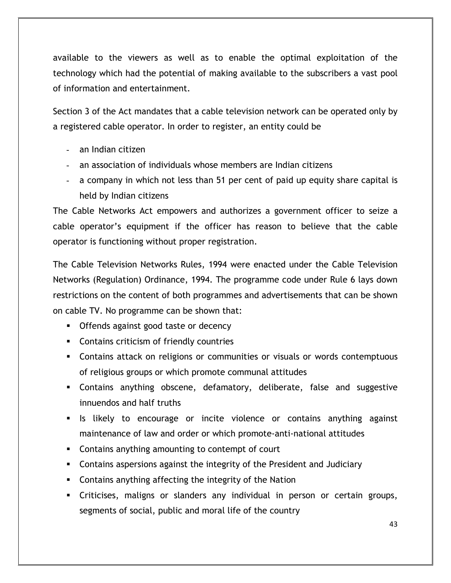available to the viewers as well as to enable the optimal exploitation of the technology which had the potential of making available to the subscribers a vast pool of information and entertainment.

Section 3 of the Act mandates that a cable television network can be operated only by a registered cable operator. In order to register, an entity could be

- an Indian citizen
- an association of individuals whose members are Indian citizens
- a company in which not less than 51 per cent of paid up equity share capital is held by Indian citizens

The Cable Networks Act empowers and authorizes a government officer to seize a cable operator's equipment if the officer has reason to believe that the cable operator is functioning without proper registration.

The Cable Television Networks Rules, 1994 were enacted under the Cable Television Networks (Regulation) Ordinance, 1994. The programme code under Rule 6 lays down restrictions on the content of both programmes and advertisements that can be shown on cable TV. No programme can be shown that:

- Offends against good taste or decency
- Contains criticism of friendly countries
- § Contains attack on religions or communities or visuals or words contemptuous of religious groups or which promote communal attitudes
- § Contains anything obscene, defamatory, deliberate, false and suggestive innuendos and half truths
- § Is likely to encourage or incite violence or contains anything against maintenance of law and order or which promote-anti-national attitudes
- Contains anything amounting to contempt of court
- § Contains aspersions against the integrity of the President and Judiciary
- Contains anything affecting the integrity of the Nation
- § Criticises, maligns or slanders any individual in person or certain groups, segments of social, public and moral life of the country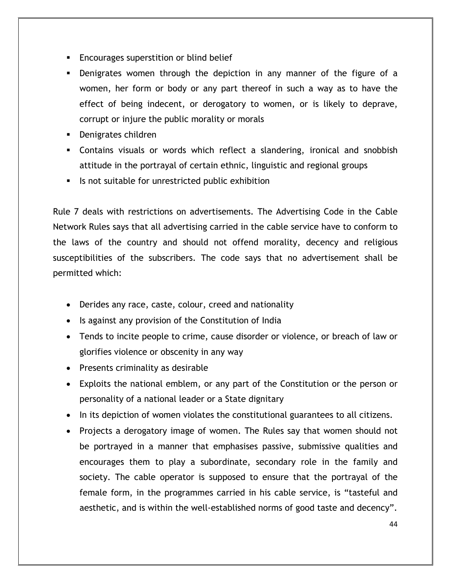- **Encourages superstition or blind belief**
- § Denigrates women through the depiction in any manner of the figure of a women, her form or body or any part thereof in such a way as to have the effect of being indecent, or derogatory to women, or is likely to deprave, corrupt or injure the public morality or morals
- Denigrates children
- § Contains visuals or words which reflect a slandering, ironical and snobbish attitude in the portrayal of certain ethnic, linguistic and regional groups
- Is not suitable for unrestricted public exhibition

Rule 7 deals with restrictions on advertisements. The Advertising Code in the Cable Network Rules says that all advertising carried in the cable service have to conform to the laws of the country and should not offend morality, decency and religious susceptibilities of the subscribers. The code says that no advertisement shall be permitted which:

- Derides any race, caste, colour, creed and nationality
- Is against any provision of the Constitution of India
- Tends to incite people to crime, cause disorder or violence, or breach of law or glorifies violence or obscenity in any way
- Presents criminality as desirable
- Exploits the national emblem, or any part of the Constitution or the person or personality of a national leader or a State dignitary
- In its depiction of women violates the constitutional guarantees to all citizens.
- Projects a derogatory image of women. The Rules say that women should not be portrayed in a manner that emphasises passive, submissive qualities and encourages them to play a subordinate, secondary role in the family and society. The cable operator is supposed to ensure that the portrayal of the female form, in the programmes carried in his cable service, is "tasteful and aesthetic, and is within the well-established norms of good taste and decency".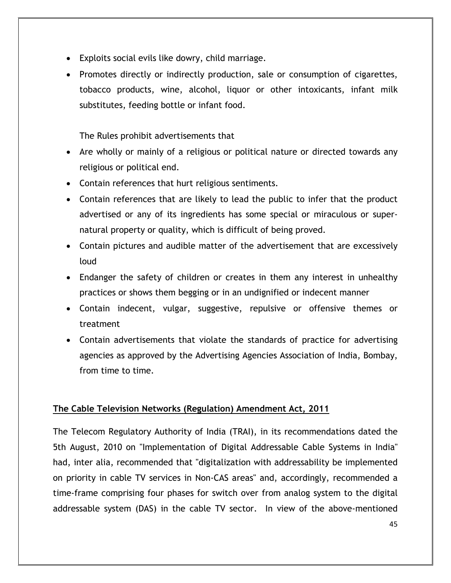- Exploits social evils like dowry, child marriage.
- Promotes directly or indirectly production, sale or consumption of cigarettes, tobacco products, wine, alcohol, liquor or other intoxicants, infant milk substitutes, feeding bottle or infant food.

The Rules prohibit advertisements that

- Are wholly or mainly of a religious or political nature or directed towards any religious or political end.
- Contain references that hurt religious sentiments.
- Contain references that are likely to lead the public to infer that the product advertised or any of its ingredients has some special or miraculous or supernatural property or quality, which is difficult of being proved.
- Contain pictures and audible matter of the advertisement that are excessively loud
- Endanger the safety of children or creates in them any interest in unhealthy practices or shows them begging or in an undignified or indecent manner
- Contain indecent, vulgar, suggestive, repulsive or offensive themes or treatment
- Contain advertisements that violate the standards of practice for advertising agencies as approved by the Advertising Agencies Association of India, Bombay, from time to time.

# **The Cable Television Networks (Regulation) Amendment Act, 2011**

The Telecom Regulatory Authority of India (TRAI), in its recommendations dated the 5th August, 2010 on "Implementation of Digital Addressable Cable Systems in India" had, inter alia, recommended that "digitalization with addressability be implemented on priority in cable TV services in Non-CAS areas" and, accordingly, recommended a time-frame comprising four phases for switch over from analog system to the digital addressable system (DAS) in the cable TV sector. In view of the above-mentioned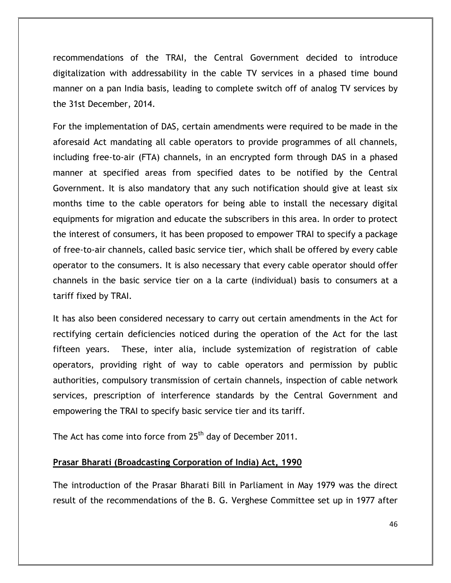recommendations of the TRAI, the Central Government decided to introduce digitalization with addressability in the cable TV services in a phased time bound manner on a pan India basis, leading to complete switch off of analog TV services by the 31st December, 2014.

For the implementation of DAS, certain amendments were required to be made in the aforesaid Act mandating all cable operators to provide programmes of all channels, including free-to-air (FTA) channels, in an encrypted form through DAS in a phased manner at specified areas from specified dates to be notified by the Central Government. It is also mandatory that any such notification should give at least six months time to the cable operators for being able to install the necessary digital equipments for migration and educate the subscribers in this area. In order to protect the interest of consumers, it has been proposed to empower TRAI to specify a package of free-to-air channels, called basic service tier, which shall be offered by every cable operator to the consumers. It is also necessary that every cable operator should offer channels in the basic service tier on a la carte (individual) basis to consumers at a tariff fixed by TRAI.

It has also been considered necessary to carry out certain amendments in the Act for rectifying certain deficiencies noticed during the operation of the Act for the last fifteen years. These, inter alia, include systemization of registration of cable operators, providing right of way to cable operators and permission by public authorities, compulsory transmission of certain channels, inspection of cable network services, prescription of interference standards by the Central Government and empowering the TRAI to specify basic service tier and its tariff.

The Act has come into force from 25<sup>th</sup> day of December 2011.

#### **Prasar Bharati (Broadcasting Corporation of India) Act, 1990**

The introduction of the Prasar Bharati Bill in Parliament in May 1979 was the direct result of the recommendations of the B. G. Verghese Committee set up in 1977 after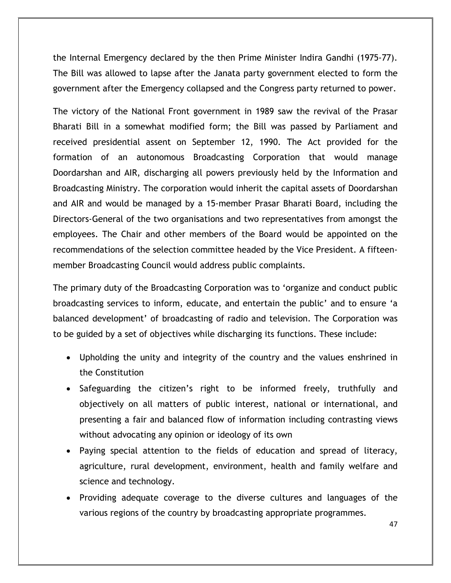the Internal Emergency declared by the then Prime Minister Indira Gandhi (1975-77). The Bill was allowed to lapse after the Janata party government elected to form the government after the Emergency collapsed and the Congress party returned to power.

The victory of the National Front government in 1989 saw the revival of the Prasar Bharati Bill in a somewhat modified form; the Bill was passed by Parliament and received presidential assent on September 12, 1990. The Act provided for the formation of an autonomous Broadcasting Corporation that would manage Doordarshan and AIR, discharging all powers previously held by the Information and Broadcasting Ministry. The corporation would inherit the capital assets of Doordarshan and AIR and would be managed by a 15-member Prasar Bharati Board, including the Directors-General of the two organisations and two representatives from amongst the employees. The Chair and other members of the Board would be appointed on the recommendations of the selection committee headed by the Vice President. A fifteenmember Broadcasting Council would address public complaints.

The primary duty of the Broadcasting Corporation was to 'organize and conduct public broadcasting services to inform, educate, and entertain the public' and to ensure 'a balanced development' of broadcasting of radio and television. The Corporation was to be guided by a set of objectives while discharging its functions. These include:

- Upholding the unity and integrity of the country and the values enshrined in the Constitution
- Safeguarding the citizen's right to be informed freely, truthfully and objectively on all matters of public interest, national or international, and presenting a fair and balanced flow of information including contrasting views without advocating any opinion or ideology of its own
- Paying special attention to the fields of education and spread of literacy, agriculture, rural development, environment, health and family welfare and science and technology.
- Providing adequate coverage to the diverse cultures and languages of the various regions of the country by broadcasting appropriate programmes.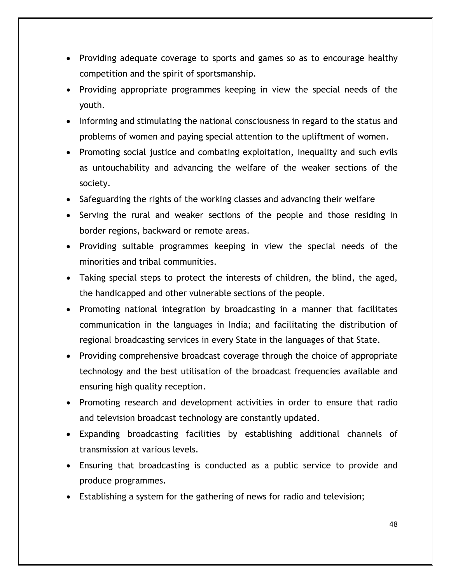- Providing adequate coverage to sports and games so as to encourage healthy competition and the spirit of sportsmanship.
- Providing appropriate programmes keeping in view the special needs of the youth.
- Informing and stimulating the national consciousness in regard to the status and problems of women and paying special attention to the upliftment of women.
- Promoting social justice and combating exploitation, inequality and such evils as untouchability and advancing the welfare of the weaker sections of the society.
- Safeguarding the rights of the working classes and advancing their welfare
- Serving the rural and weaker sections of the people and those residing in border regions, backward or remote areas.
- Providing suitable programmes keeping in view the special needs of the minorities and tribal communities.
- Taking special steps to protect the interests of children, the blind, the aged, the handicapped and other vulnerable sections of the people.
- Promoting national integration by broadcasting in a manner that facilitates communication in the languages in India; and facilitating the distribution of regional broadcasting services in every State in the languages of that State.
- Providing comprehensive broadcast coverage through the choice of appropriate technology and the best utilisation of the broadcast frequencies available and ensuring high quality reception.
- Promoting research and development activities in order to ensure that radio and television broadcast technology are constantly updated.
- Expanding broadcasting facilities by establishing additional channels of transmission at various levels.
- Ensuring that broadcasting is conducted as a public service to provide and produce programmes.
- Establishing a system for the gathering of news for radio and television;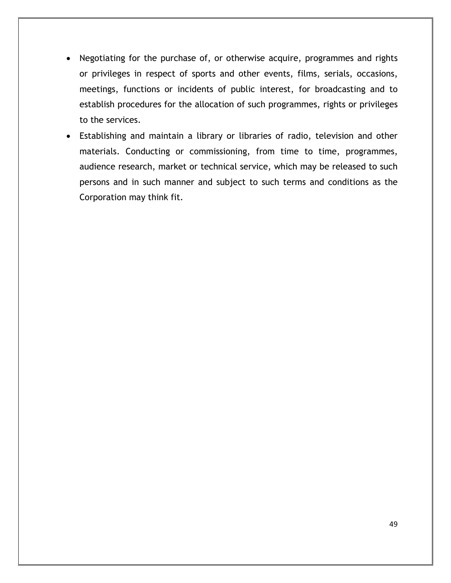- Negotiating for the purchase of, or otherwise acquire, programmes and rights or privileges in respect of sports and other events, films, serials, occasions, meetings, functions or incidents of public interest, for broadcasting and to establish procedures for the allocation of such programmes, rights or privileges to the services.
- Establishing and maintain a library or libraries of radio, television and other materials. Conducting or commissioning, from time to time, programmes, audience research, market or technical service, which may be released to such persons and in such manner and subject to such terms and conditions as the Corporation may think fit.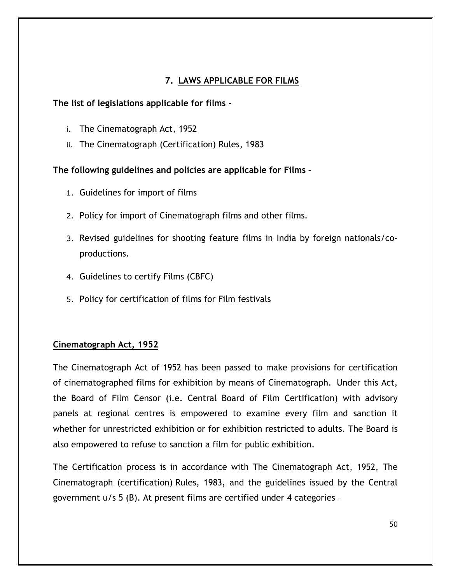## **7. LAWS APPLICABLE FOR FILMS**

### **The list of legislations applicable for films -**

- i. The Cinematograph Act, 1952
- ii. The Cinematograph (Certification) Rules, 1983

**The following guidelines and policies are applicable for Films –** 

- 1. Guidelines for import of films
- 2. Policy for import of Cinematograph films and other films.
- 3. Revised guidelines for shooting feature films in India by foreign nationals/coproductions.
- 4. Guidelines to certify Films (CBFC)
- 5. Policy for certification of films for Film festivals

## **Cinematograph Act, 1952**

The Cinematograph Act of 1952 has been passed to make provisions for certification of cinematographed films for exhibition by means of Cinematograph. Under this Act, the Board of Film Censor (i.e. Central Board of Film Certification) with advisory panels at regional centres is empowered to examine every film and sanction it whether for unrestricted exhibition or for exhibition restricted to adults. The Board is also empowered to refuse to sanction a film for public exhibition.

The Certification process is in accordance with The Cinematograph Act, 1952, The Cinematograph (certification) Rules, 1983, and the guidelines issued by the Central government u/s 5 (B). At present films are certified under 4 categories –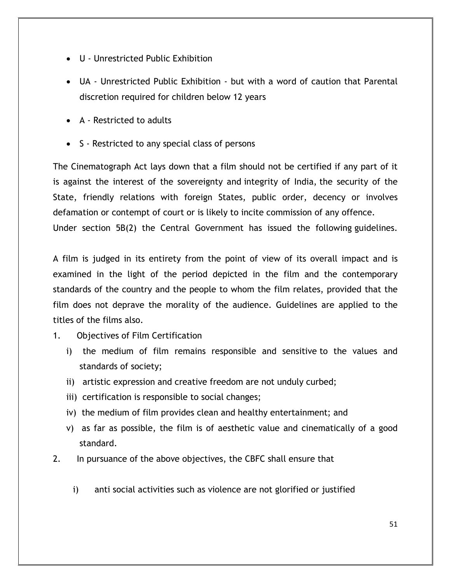- U Unrestricted Public Exhibition
- UA Unrestricted Public Exhibition but with a word of caution that Parental discretion required for children below 12 years
- A Restricted to adults
- S Restricted to any special class of persons

The Cinematograph Act lays down that a film should not be certified if any part of it is against the interest of the sovereignty and integrity of India, the security of the State, friendly relations with foreign States, public order, decency or involves defamation or contempt of court or is likely to incite commission of any offence.

Under section 5B(2) the Central Government has issued the following guidelines.

A film is judged in its entirety from the point of view of its overall impact and is examined in the light of the period depicted in the film and the contemporary standards of the country and the people to whom the film relates, provided that the film does not deprave the morality of the audience. Guidelines are applied to the titles of the films also.

- 1. Objectives of Film Certification
	- i) the medium of film remains responsible and sensitive to the values and standards of society;
	- ii) artistic expression and creative freedom are not unduly curbed;
	- iii) certification is responsible to social changes;
	- iv) the medium of film provides clean and healthy entertainment; and
	- v) as far as possible, the film is of aesthetic value and cinematically of a good standard.
- 2. In pursuance of the above objectives, the CBFC shall ensure that
	- i) anti social activities such as violence are not glorified or justified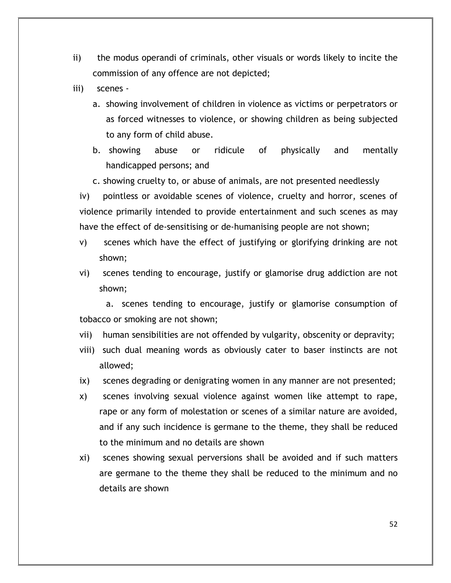- ii) the modus operandi of criminals, other visuals or words likely to incite the commission of any offence are not depicted;
- iii) scenes
	- a. showing involvement of children in violence as victims or perpetrators or as forced witnesses to violence, or showing children as being subjected to any form of child abuse.
	- b. showing abuse or ridicule of physically and mentally handicapped persons; and
	- c. showing cruelty to, or abuse of animals, are not presented needlessly

iv) pointless or avoidable scenes of violence, cruelty and horror, scenes of violence primarily intended to provide entertainment and such scenes as may have the effect of de-sensitising or de-humanising people are not shown;

- v) scenes which have the effect of justifying or glorifying drinking are not shown;
- vi) scenes tending to encourage, justify or glamorise drug addiction are not shown;

a. scenes tending to encourage, justify or glamorise consumption of tobacco or smoking are not shown;

- vii) human sensibilities are not offended by vulgarity, obscenity or depravity;
- viii) such dual meaning words as obviously cater to baser instincts are not allowed;
- ix) scenes degrading or denigrating women in any manner are not presented;
- x) scenes involving sexual violence against women like attempt to rape, rape or any form of molestation or scenes of a similar nature are avoided, and if any such incidence is germane to the theme, they shall be reduced to the minimum and no details are shown
- xi) scenes showing sexual perversions shall be avoided and if such matters are germane to the theme they shall be reduced to the minimum and no details are shown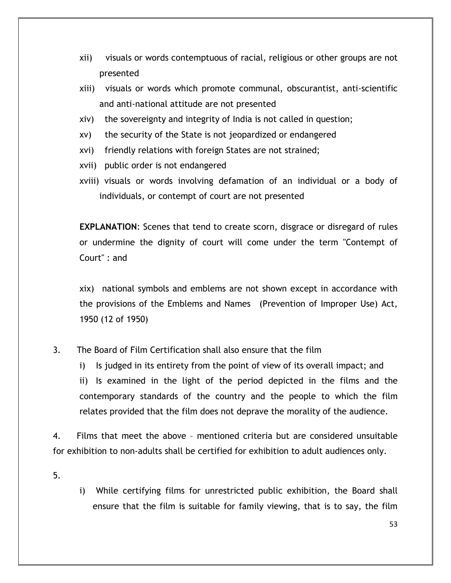- xii) visuals or words contemptuous of racial, religious or other groups are not presented
- xiii) visuals or words which promote communal, obscurantist, anti-scientific and anti-national attitude are not presented
- xiv) the sovereignty and integrity of India is not called in question;
- xv) the security of the State is not jeopardized or endangered
- xvi) friendly relations with foreign States are not strained;
- xvii) public order is not endangered
- xviii) visuals or words involving defamation of an individual or a body of individuals, or contempt of court are not presented

**EXPLANATION**: Scenes that tend to create scorn, disgrace or disregard of rules or undermine the dignity of court will come under the term ''Contempt of Court'' : and

xix) national symbols and emblems are not shown except in accordance with the provisions of the Emblems and Names (Prevention of Improper Use) Act, 1950 (12 of 1950)

3. The Board of Film Certification shall also ensure that the film

i) Is judged in its entirety from the point of view of its overall impact; and ii) Is examined in the light of the period depicted in the films and the contemporary standards of the country and the people to which the film relates provided that the film does not deprave the morality of the audience.

4. Films that meet the above – mentioned criteria but are considered unsuitable for exhibition to non-adults shall be certified for exhibition to adult audiences only.

5.

i) While certifying films for unrestricted public exhibition, the Board shall ensure that the film is suitable for family viewing, that is to say, the film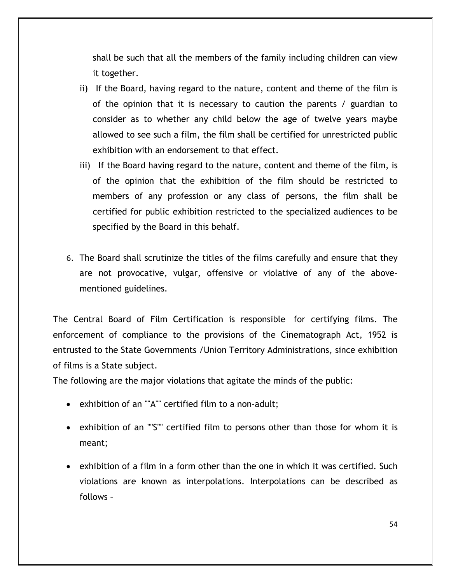shall be such that all the members of the family including children can view it together.

- ii) If the Board, having regard to the nature, content and theme of the film is of the opinion that it is necessary to caution the parents / guardian to consider as to whether any child below the age of twelve years maybe allowed to see such a film, the film shall be certified for unrestricted public exhibition with an endorsement to that effect.
- iii) If the Board having regard to the nature, content and theme of the film, is of the opinion that the exhibition of the film should be restricted to members of any profession or any class of persons, the film shall be certified for public exhibition restricted to the specialized audiences to be specified by the Board in this behalf.
- 6. The Board shall scrutinize the titles of the films carefully and ensure that they are not provocative, vulgar, offensive or violative of any of the abovementioned guidelines.

The Central Board of Film Certification is responsible for certifying films. The enforcement of compliance to the provisions of the Cinematograph Act, 1952 is entrusted to the State Governments /Union Territory Administrations, since exhibition of films is a State subject.

The following are the major violations that agitate the minds of the public:

- exhibition of an ""A"" certified film to a non-adult;
- exhibition of an ""S"" certified film to persons other than those for whom it is meant;
- exhibition of a film in a form other than the one in which it was certified. Such violations are known as interpolations. Interpolations can be described as follows –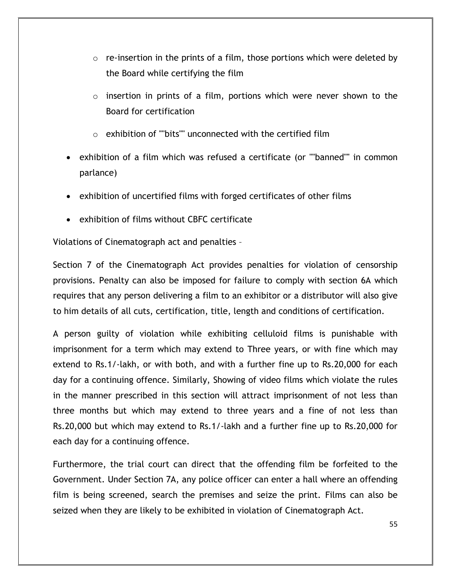- $\circ$  re-insertion in the prints of a film, those portions which were deleted by the Board while certifying the film
- $\circ$  insertion in prints of a film, portions which were never shown to the Board for certification
- $\circ$  exhibition of ""bits"" unconnected with the certified film
- exhibition of a film which was refused a certificate (or ""banned"" in common parlance)
- exhibition of uncertified films with forged certificates of other films
- exhibition of films without CBFC certificate

## Violations of Cinematograph act and penalties –

Section 7 of the Cinematograph Act provides penalties for violation of censorship provisions. Penalty can also be imposed for failure to comply with section 6A which requires that any person delivering a film to an exhibitor or a distributor will also give to him details of all cuts, certification, title, length and conditions of certification.

A person guilty of violation while exhibiting celluloid films is punishable with imprisonment for a term which may extend to Three years, or with fine which may extend to Rs.1/-lakh, or with both, and with a further fine up to Rs.20,000 for each day for a continuing offence. Similarly, Showing of video films which violate the rules in the manner prescribed in this section will attract imprisonment of not less than three months but which may extend to three years and a fine of not less than Rs.20,000 but which may extend to Rs.1/-lakh and a further fine up to Rs.20,000 for each day for a continuing offence.

Furthermore, the trial court can direct that the offending film be forfeited to the Government. Under Section 7A, any police officer can enter a hall where an offending film is being screened, search the premises and seize the print. Films can also be seized when they are likely to be exhibited in violation of Cinematograph Act.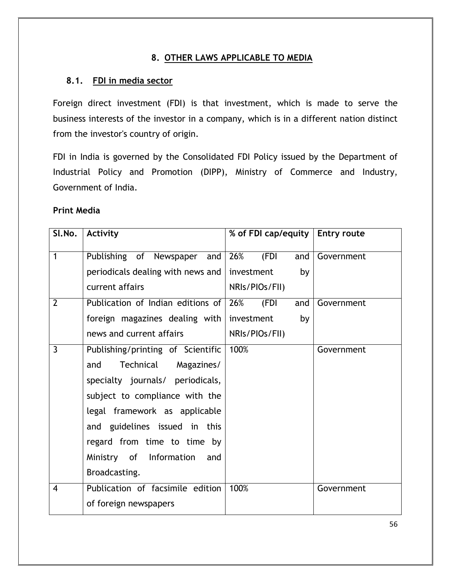## **8. OTHER LAWS APPLICABLE TO MEDIA**

### **8.1. FDI in media sector**

Foreign direct investment (FDI) is that investment, which is made to serve the business interests of the investor in a company, which is in a different nation distinct from the investor's country of origin.

FDI in India is governed by the Consolidated FDI Policy issued by the Department of Industrial Policy and Promotion (DIPP), Ministry of Commerce and Industry, Government of India.

### **Print Media**

| SI.No.         | Activity                          | % of FDI cap/equity | <b>Entry route</b> |
|----------------|-----------------------------------|---------------------|--------------------|
| $\mathbf{1}$   | Publishing of Newspaper and       | 26%<br>(FDI<br>and  | Government         |
|                | periodicals dealing with news and | investment<br>by    |                    |
|                | current affairs                   | NRIs/PIOs/FII)      |                    |
| $\overline{2}$ | Publication of Indian editions of | 26%<br>(FDI<br>and  | Government         |
|                | foreign magazines dealing with    | investment<br>by    |                    |
|                | news and current affairs          | NRIs/PIOs/FII)      |                    |
| $\overline{3}$ | Publishing/printing of Scientific | 100%                | Government         |
|                | Technical<br>and<br>Magazines/    |                     |                    |
|                | specialty journals/ periodicals,  |                     |                    |
|                | subject to compliance with the    |                     |                    |
|                | legal framework as applicable     |                     |                    |
|                | and guidelines issued in this     |                     |                    |
|                | regard from time to time by       |                     |                    |
|                | Ministry of Information<br>and    |                     |                    |
|                | Broadcasting.                     |                     |                    |
| $\overline{4}$ | Publication of facsimile edition  | 100%                | Government         |
|                | of foreign newspapers             |                     |                    |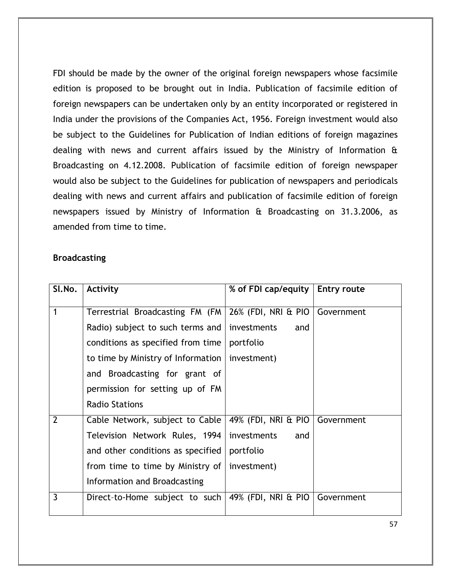FDI should be made by the owner of the original foreign newspapers whose facsimile edition is proposed to be brought out in India. Publication of facsimile edition of foreign newspapers can be undertaken only by an entity incorporated or registered in India under the provisions of the Companies Act, 1956. Foreign investment would also be subject to the Guidelines for Publication of Indian editions of foreign magazines dealing with news and current affairs issued by the Ministry of Information & Broadcasting on 4.12.2008. Publication of facsimile edition of foreign newspaper would also be subject to the Guidelines for publication of newspapers and periodicals dealing with news and current affairs and publication of facsimile edition of foreign newspapers issued by Ministry of Information & Broadcasting on 31.3.2006, as amended from time to time.

#### **Broadcasting**

| SI.No.         | Activity                           | % of FDI cap/equity | <b>Entry route</b> |
|----------------|------------------------------------|---------------------|--------------------|
|                |                                    |                     |                    |
|                | Terrestrial Broadcasting FM (FM)   | 26% (FDI, NRI & PIO | Government         |
|                | Radio) subject to such terms and   | investments<br>and  |                    |
|                | conditions as specified from time  | portfolio           |                    |
|                | to time by Ministry of Information | investment)         |                    |
|                | and Broadcasting for grant of      |                     |                    |
|                | permission for setting up of FM    |                     |                    |
|                | <b>Radio Stations</b>              |                     |                    |
| $\overline{2}$ | Cable Network, subject to Cable    | 49% (FDI, NRI & PIO | Government         |
|                | Television Network Rules, 1994     | investments<br>and  |                    |
|                | and other conditions as specified  | portfolio           |                    |
|                | from time to time by Ministry of   | investment)         |                    |
|                | Information and Broadcasting       |                     |                    |
| 3              | Direct-to-Home subject to such     | 49% (FDI, NRI & PIO | Government         |
|                |                                    |                     |                    |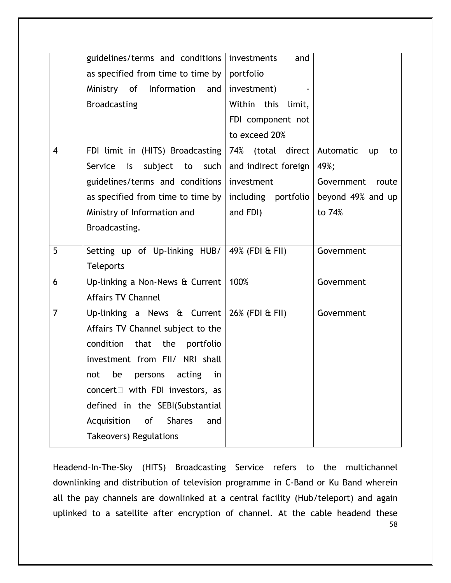|                | guidelines/terms and conditions   investments | and                   |                              |
|----------------|-----------------------------------------------|-----------------------|------------------------------|
|                | as specified from time to time by             | portfolio             |                              |
|                | Information<br>Ministry of<br>and             | investment)           |                              |
|                | <b>Broadcasting</b>                           | Within this<br>limit, |                              |
|                |                                               | FDI component not     |                              |
|                |                                               | to exceed 20%         |                              |
| 4              | FDI limit in (HITS) Broadcasting              | 74% (total direct     | Automatic<br><b>up</b><br>to |
|                | subject<br>Service<br>is<br>to<br>such        | and indirect foreign  | 49%;                         |
|                | guidelines/terms and conditions               | investment            | Government<br>route          |
|                | as specified from time to time by             | including portfolio   | beyond 49% and up            |
|                | Ministry of Information and                   | and FDI)              | to 74%                       |
|                | Broadcasting.                                 |                       |                              |
|                |                                               |                       |                              |
| 5              | Setting up of Up-linking HUB/ 49% (FDI & FII) |                       | Government                   |
|                | <b>Teleports</b>                              |                       |                              |
| 6              | Up-linking a Non-News & Current               | 100%                  | Government                   |
|                | <b>Affairs TV Channel</b>                     |                       |                              |
| $\overline{7}$ | Up-linking a News & Current                   | 26% (FDI & FII)       | Government                   |
|                | Affairs TV Channel subject to the             |                       |                              |
|                | condition that the portfolio                  |                       |                              |
|                | investment from FII/ NRI shall                |                       |                              |
|                | acting<br>in<br>not<br>be<br>persons          |                       |                              |
|                | with FDI investors, as<br>concert             |                       |                              |
|                | defined in the SEBI(Substantial               |                       |                              |
|                | Acquisition<br><b>Shares</b><br>of<br>and     |                       |                              |
|                | <b>Takeovers) Regulations</b>                 |                       |                              |

58 Headend-In-The-Sky (HITS) Broadcasting Service refers to the multichannel downlinking and distribution of television programme in C-Band or Ku Band wherein all the pay channels are downlinked at a central facility (Hub/teleport) and again uplinked to a satellite after encryption of channel. At the cable headend these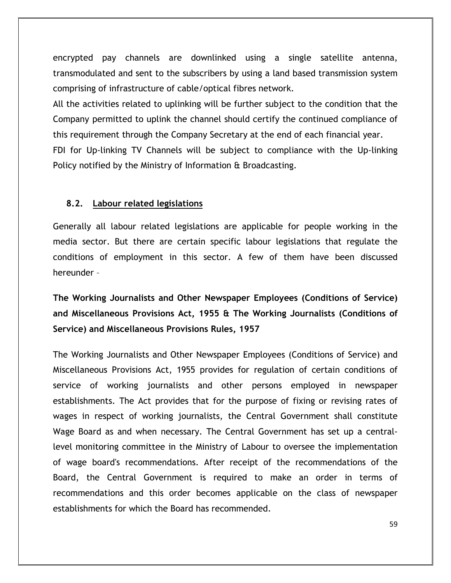encrypted pay channels are downlinked using a single satellite antenna, transmodulated and sent to the subscribers by using a land based transmission system comprising of infrastructure of cable/optical fibres network.

All the activities related to uplinking will be further subject to the condition that the Company permitted to uplink the channel should certify the continued compliance of this requirement through the Company Secretary at the end of each financial year. FDI for Up-linking TV Channels will be subject to compliance with the Up-linking Policy notified by the Ministry of Information & Broadcasting.

#### **8.2. Labour related legislations**

Generally all labour related legislations are applicable for people working in the media sector. But there are certain specific labour legislations that regulate the conditions of employment in this sector. A few of them have been discussed hereunder –

**The Working Journalists and Other Newspaper Employees (Conditions of Service) and Miscellaneous Provisions Act, 1955 & The Working Journalists (Conditions of Service) and Miscellaneous Provisions Rules, 1957** 

The Working Journalists and Other Newspaper Employees (Conditions of Service) and Miscellaneous Provisions Act, 1955 provides for regulation of certain conditions of service of working journalists and other persons employed in newspaper establishments. The Act provides that for the purpose of fixing or revising rates of wages in respect of working journalists, the Central Government shall constitute Wage Board as and when necessary. The Central Government has set up a centrallevel monitoring committee in the Ministry of Labour to oversee the implementation of wage board's recommendations. After receipt of the recommendations of the Board, the Central Government is required to make an order in terms of recommendations and this order becomes applicable on the class of newspaper establishments for which the Board has recommended.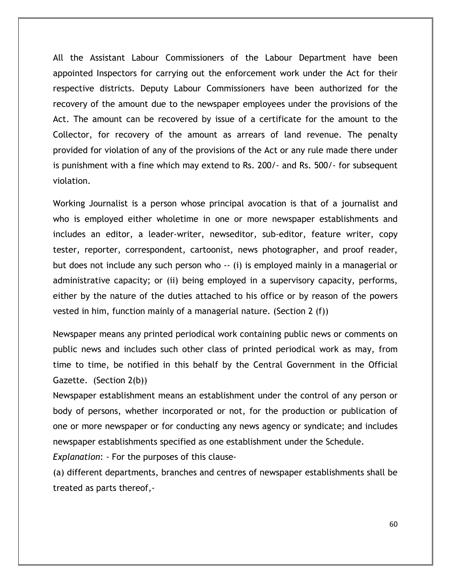All the Assistant Labour Commissioners of the Labour Department have been appointed Inspectors for carrying out the enforcement work under the Act for their respective districts. Deputy Labour Commissioners have been authorized for the recovery of the amount due to the newspaper employees under the provisions of the Act. The amount can be recovered by issue of a certificate for the amount to the Collector, for recovery of the amount as arrears of land revenue. The penalty provided for violation of any of the provisions of the Act or any rule made there under is punishment with a fine which may extend to Rs. 200/- and Rs. 500/- for subsequent violation.

Working Journalist is a person whose principal avocation is that of a journalist and who is employed either wholetime in one or more newspaper establishments and includes an editor, a leader-writer, newseditor, sub-editor, feature writer, copy tester, reporter, correspondent, cartoonist, news photographer, and proof reader, but does not include any such person who -- (i) is employed mainly in a managerial or administrative capacity; or (ii) being employed in a supervisory capacity, performs, either by the nature of the duties attached to his office or by reason of the powers vested in him, function mainly of a managerial nature. (Section 2 (f))

Newspaper means any printed periodical work containing public news or comments on public news and includes such other class of printed periodical work as may, from time to time, be notified in this behalf by the Central Government in the Official Gazette. (Section 2(b))

Newspaper establishment means an establishment under the control of any person or body of persons, whether incorporated or not, for the production or publication of one or more newspaper or for conducting any news agency or syndicate; and includes newspaper establishments specified as one establishment under the Schedule.

*Explanation*: - For the purposes of this clause-

(a) different departments, branches and centres of newspaper establishments shall be treated as parts thereof,-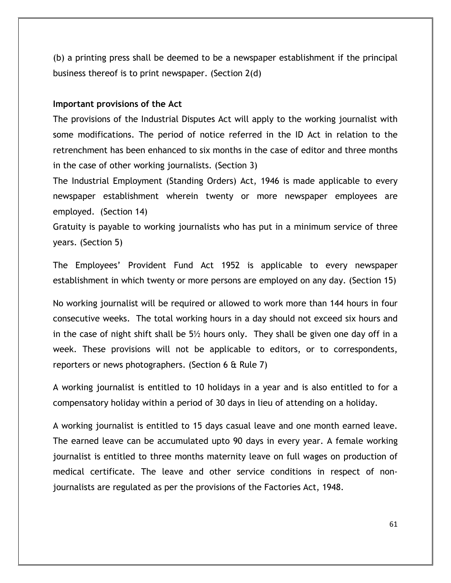(b) a printing press shall be deemed to be a newspaper establishment if the principal business thereof is to print newspaper. (Section 2(d)

#### **Important provisions of the Act**

The provisions of the Industrial Disputes Act will apply to the working journalist with some modifications. The period of notice referred in the ID Act in relation to the retrenchment has been enhanced to six months in the case of editor and three months in the case of other working journalists. (Section 3)

The Industrial Employment (Standing Orders) Act, 1946 is made applicable to every newspaper establishment wherein twenty or more newspaper employees are employed. (Section 14)

Gratuity is payable to working journalists who has put in a minimum service of three years. (Section 5)

The Employees' Provident Fund Act 1952 is applicable to every newspaper establishment in which twenty or more persons are employed on any day. (Section 15)

No working journalist will be required or allowed to work more than 144 hours in four consecutive weeks. The total working hours in a day should not exceed six hours and in the case of night shift shall be  $5\frac{1}{2}$  hours only. They shall be given one day off in a week. These provisions will not be applicable to editors, or to correspondents, reporters or news photographers. (Section 6 & Rule 7)

A working journalist is entitled to 10 holidays in a year and is also entitled to for a compensatory holiday within a period of 30 days in lieu of attending on a holiday.

A working journalist is entitled to 15 days casual leave and one month earned leave. The earned leave can be accumulated upto 90 days in every year. A female working journalist is entitled to three months maternity leave on full wages on production of medical certificate. The leave and other service conditions in respect of nonjournalists are regulated as per the provisions of the Factories Act, 1948.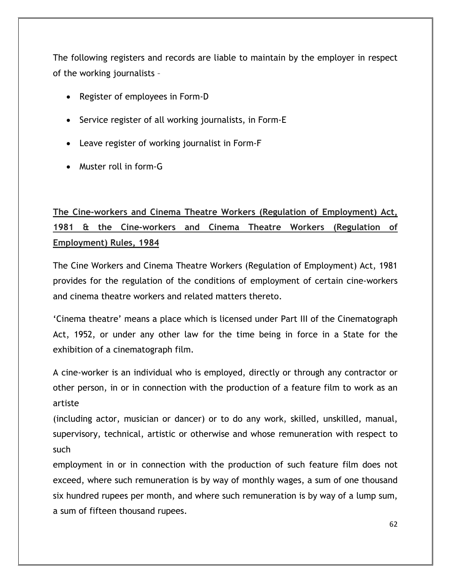The following registers and records are liable to maintain by the employer in respect of the working journalists –

- Register of employees in Form-D
- Service register of all working journalists, in Form-E
- Leave register of working journalist in Form-F
- Muster roll in form-G

# **The Cine-workers and Cinema Theatre Workers (Regulation of Employment) Act, 1981 & the Cine-workers and Cinema Theatre Workers (Regulation of Employment) Rules, 1984**

The Cine Workers and Cinema Theatre Workers (Regulation of Employment) Act, 1981 provides for the regulation of the conditions of employment of certain cine-workers and cinema theatre workers and related matters thereto.

'Cinema theatre' means a place which is licensed under Part III of the Cinematograph Act, 1952, or under any other law for the time being in force in a State for the exhibition of a cinematograph film.

A cine-worker is an individual who is employed, directly or through any contractor or other person, in or in connection with the production of a feature film to work as an artiste

(including actor, musician or dancer) or to do any work, skilled, unskilled, manual, supervisory, technical, artistic or otherwise and whose remuneration with respect to such

employment in or in connection with the production of such feature film does not exceed, where such remuneration is by way of monthly wages, a sum of one thousand six hundred rupees per month, and where such remuneration is by way of a lump sum, a sum of fifteen thousand rupees.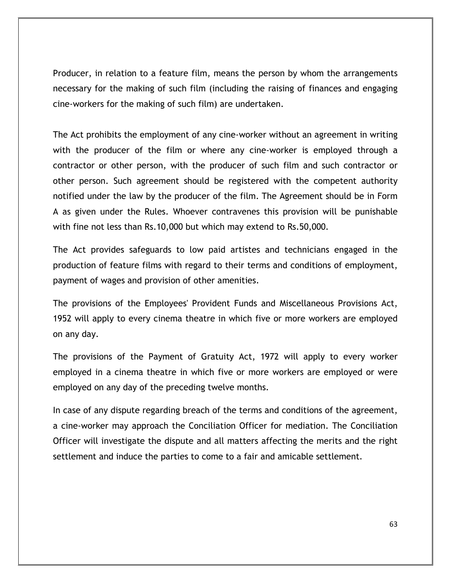Producer, in relation to a feature film, means the person by whom the arrangements necessary for the making of such film (including the raising of finances and engaging cine-workers for the making of such film) are undertaken.

The Act prohibits the employment of any cine-worker without an agreement in writing with the producer of the film or where any cine-worker is employed through a contractor or other person, with the producer of such film and such contractor or other person. Such agreement should be registered with the competent authority notified under the law by the producer of the film. The Agreement should be in Form A as given under the Rules. Whoever contravenes this provision will be punishable with fine not less than Rs.10,000 but which may extend to Rs.50,000.

The Act provides safeguards to low paid artistes and technicians engaged in the production of feature films with regard to their terms and conditions of employment, payment of wages and provision of other amenities.

The provisions of the Employees' Provident Funds and Miscellaneous Provisions Act, 1952 will apply to every cinema theatre in which five or more workers are employed on any day.

The provisions of the Payment of Gratuity Act, 1972 will apply to every worker employed in a cinema theatre in which five or more workers are employed or were employed on any day of the preceding twelve months.

In case of any dispute regarding breach of the terms and conditions of the agreement, a cine-worker may approach the Conciliation Officer for mediation. The Conciliation Officer will investigate the dispute and all matters affecting the merits and the right settlement and induce the parties to come to a fair and amicable settlement.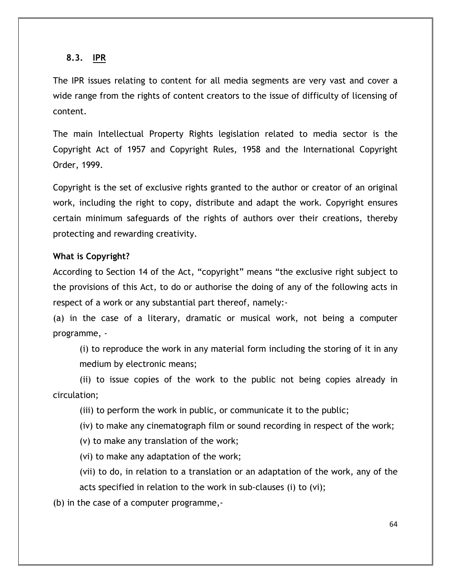#### **8.3. IPR**

The IPR issues relating to content for all media segments are very vast and cover a wide range from the rights of content creators to the issue of difficulty of licensing of content.

The main Intellectual Property Rights legislation related to media sector is the Copyright Act of 1957 and Copyright Rules, 1958 and the International Copyright Order, 1999.

Copyright is the set of exclusive rights granted to the author or creator of an original work, including the right to copy, distribute and adapt the work. Copyright ensures certain minimum safeguards of the rights of authors over their creations, thereby protecting and rewarding creativity.

#### **What is Copyright?**

According to Section 14 of the Act, "copyright" means "the exclusive right subject to the provisions of this Act, to do or authorise the doing of any of the following acts in respect of a work or any substantial part thereof, namely:-

(a) in the case of a literary, dramatic or musical work, not being a computer programme, -

(i) to reproduce the work in any material form including the storing of it in any medium by electronic means;

(ii) to issue copies of the work to the public not being copies already in circulation;

(iii) to perform the work in public, or communicate it to the public;

(iv) to make any cinematograph film or sound recording in respect of the work;

(v) to make any translation of the work;

(vi) to make any adaptation of the work;

(vii) to do, in relation to a translation or an adaptation of the work, any of the acts specified in relation to the work in sub-clauses (i) to (vi);

(b) in the case of a computer programme,-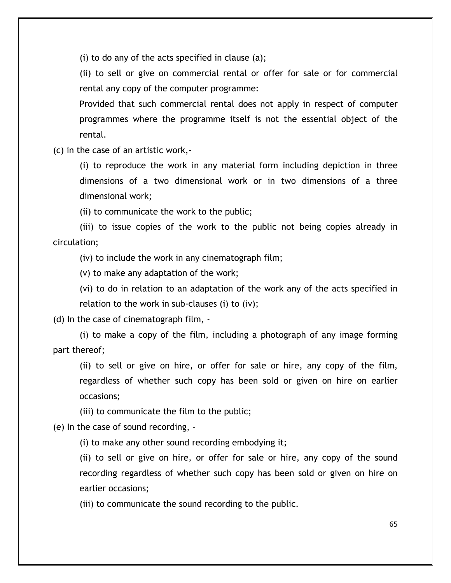(i) to do any of the acts specified in clause (a);

(ii) to sell or give on commercial rental or offer for sale or for commercial rental any copy of the computer programme:

Provided that such commercial rental does not apply in respect of computer programmes where the programme itself is not the essential object of the rental.

(c) in the case of an artistic work,-

(i) to reproduce the work in any material form including depiction in three dimensions of a two dimensional work or in two dimensions of a three dimensional work;

(ii) to communicate the work to the public;

(iii) to issue copies of the work to the public not being copies already in circulation;

(iv) to include the work in any cinematograph film;

(v) to make any adaptation of the work;

(vi) to do in relation to an adaptation of the work any of the acts specified in relation to the work in sub-clauses (i) to (iv);

(d) In the case of cinematograph film, -

(i) to make a copy of the film, including a photograph of any image forming part thereof;

(ii) to sell or give on hire, or offer for sale or hire, any copy of the film, regardless of whether such copy has been sold or given on hire on earlier occasions;

(iii) to communicate the film to the public;

(e) In the case of sound recording, -

(i) to make any other sound recording embodying it;

(ii) to sell or give on hire, or offer for sale or hire, any copy of the sound recording regardless of whether such copy has been sold or given on hire on earlier occasions;

(iii) to communicate the sound recording to the public.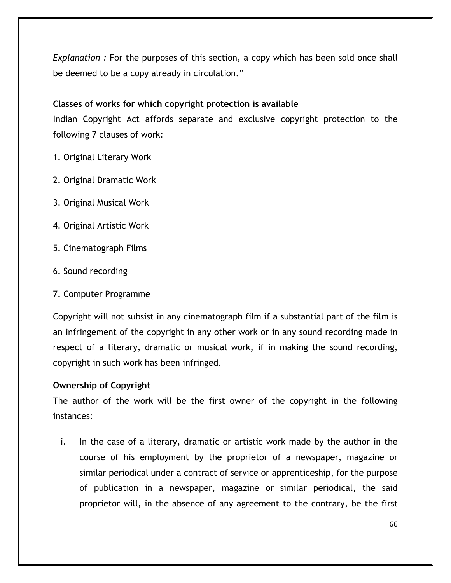**Explanation : For the purposes of this section, a copy which has been sold once shall** be deemed to be a copy already in circulation."

## **Classes of works for which copyright protection is available**

Indian Copyright Act affords separate and exclusive copyright protection to the following 7 clauses of work:

- 1. Original Literary Work
- 2. Original Dramatic Work
- 3. Original Musical Work
- 4. Original Artistic Work
- 5. Cinematograph Films
- 6. Sound recording
- 7. Computer Programme

Copyright will not subsist in any cinematograph film if a substantial part of the film is an infringement of the copyright in any other work or in any sound recording made in respect of a literary, dramatic or musical work, if in making the sound recording, copyright in such work has been infringed.

# **Ownership of Copyright**

The author of the work will be the first owner of the copyright in the following instances:

i. In the case of a literary, dramatic or artistic work made by the author in the course of his employment by the proprietor of a newspaper, magazine or similar periodical under a contract of service or apprenticeship, for the purpose of publication in a newspaper, magazine or similar periodical, the said proprietor will, in the absence of any agreement to the contrary, be the first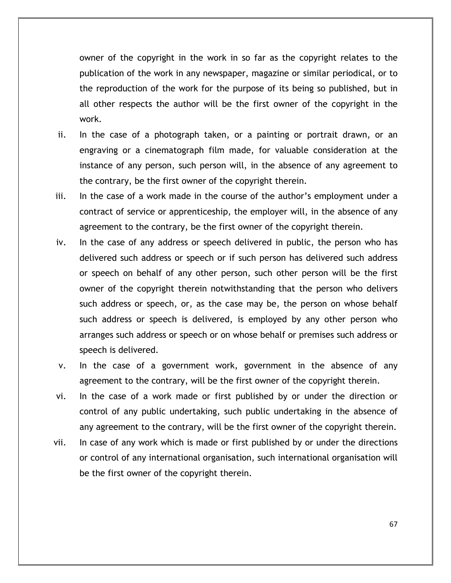owner of the copyright in the work in so far as the copyright relates to the publication of the work in any newspaper, magazine or similar periodical, or to the reproduction of the work for the purpose of its being so published, but in all other respects the author will be the first owner of the copyright in the work.

- ii. In the case of a photograph taken, or a painting or portrait drawn, or an engraving or a cinematograph film made, for valuable consideration at the instance of any person, such person will, in the absence of any agreement to the contrary, be the first owner of the copyright therein.
- iii. In the case of a work made in the course of the author's employment under a contract of service or apprenticeship, the employer will, in the absence of any agreement to the contrary, be the first owner of the copyright therein.
- iv. In the case of any address or speech delivered in public, the person who has delivered such address or speech or if such person has delivered such address or speech on behalf of any other person, such other person will be the first owner of the copyright therein notwithstanding that the person who delivers such address or speech, or, as the case may be, the person on whose behalf such address or speech is delivered, is employed by any other person who arranges such address or speech or on whose behalf or premises such address or speech is delivered.
- v. In the case of a government work, government in the absence of any agreement to the contrary, will be the first owner of the copyright therein.
- vi. In the case of a work made or first published by or under the direction or control of any public undertaking, such public undertaking in the absence of any agreement to the contrary, will be the first owner of the copyright therein.
- vii. In case of any work which is made or first published by or under the directions or control of any international organisation, such international organisation will be the first owner of the copyright therein.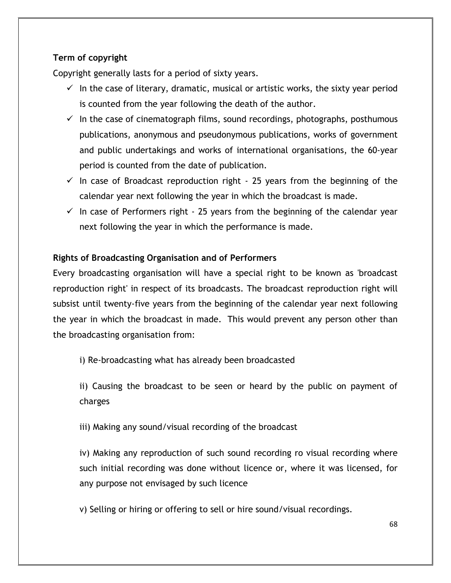## **Term of copyright**

Copyright generally lasts for a period of sixty years.

- $\checkmark$  In the case of literary, dramatic, musical or artistic works, the sixty year period is counted from the year following the death of the author.
- $\checkmark$  In the case of cinematograph films, sound recordings, photographs, posthumous publications, anonymous and pseudonymous publications, works of government and public undertakings and works of international organisations, the 60-year period is counted from the date of publication.
- $\checkmark$  In case of Broadcast reproduction right 25 years from the beginning of the calendar year next following the year in which the broadcast is made.
- $\checkmark$  In case of Performers right 25 years from the beginning of the calendar year next following the year in which the performance is made.

## **Rights of Broadcasting Organisation and of Performers**

Every broadcasting organisation will have a special right to be known as 'broadcast reproduction right' in respect of its broadcasts. The broadcast reproduction right will subsist until twenty-five years from the beginning of the calendar year next following the year in which the broadcast in made. This would prevent any person other than the broadcasting organisation from:

i) Re-broadcasting what has already been broadcasted

ii) Causing the broadcast to be seen or heard by the public on payment of charges

iii) Making any sound/visual recording of the broadcast

iv) Making any reproduction of such sound recording ro visual recording where such initial recording was done without licence or, where it was licensed, for any purpose not envisaged by such licence

v) Selling or hiring or offering to sell or hire sound/visual recordings.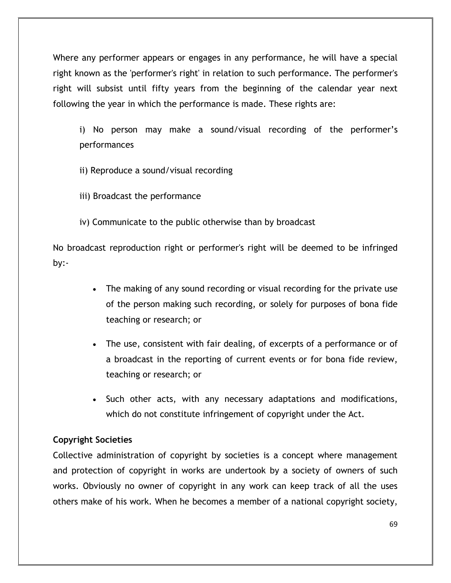Where any performer appears or engages in any performance, he will have a special right known as the 'performer's right' in relation to such performance. The performer's right will subsist until fifty years from the beginning of the calendar year next following the year in which the performance is made. These rights are:

i) No person may make a sound/visual recording of the performer's performances

- ii) Reproduce a sound/visual recording
- iii) Broadcast the performance
- iv) Communicate to the public otherwise than by broadcast

No broadcast reproduction right or performer's right will be deemed to be infringed by:-

- The making of any sound recording or visual recording for the private use of the person making such recording, or solely for purposes of bona fide teaching or research; or
- The use, consistent with fair dealing, of excerpts of a performance or of a broadcast in the reporting of current events or for bona fide review, teaching or research; or
- Such other acts, with any necessary adaptations and modifications, which do not constitute infringement of copyright under the Act.

#### **Copyright Societies**

Collective administration of copyright by societies is a concept where management and protection of copyright in works are undertook by a society of owners of such works. Obviously no owner of copyright in any work can keep track of all the uses others make of his work. When he becomes a member of a national copyright society,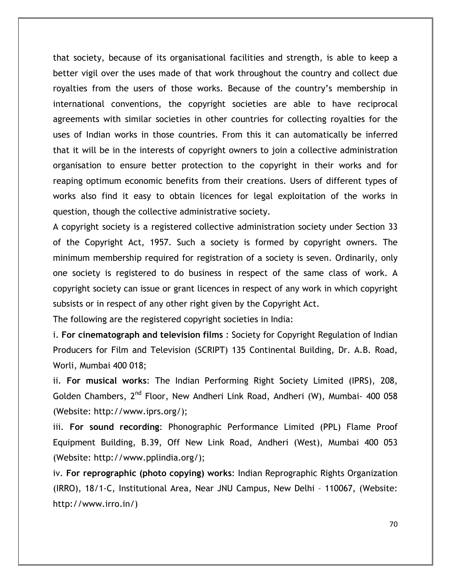that society, because of its organisational facilities and strength, is able to keep a better vigil over the uses made of that work throughout the country and collect due royalties from the users of those works. Because of the country's membership in international conventions, the copyright societies are able to have reciprocal agreements with similar societies in other countries for collecting royalties for the uses of Indian works in those countries. From this it can automatically be inferred that it will be in the interests of copyright owners to join a collective administration organisation to ensure better protection to the copyright in their works and for reaping optimum economic benefits from their creations. Users of different types of works also find it easy to obtain licences for legal exploitation of the works in question, though the collective administrative society.

A copyright society is a registered collective administration society under Section 33 of the Copyright Act, 1957. Such a society is formed by copyright owners. The minimum membership required for registration of a society is seven. Ordinarily, only one society is registered to do business in respect of the same class of work. A copyright society can issue or grant licences in respect of any work in which copyright subsists or in respect of any other right given by the Copyright Act.

The following are the registered copyright societies in India:

i. **For cinematograph and television films** : Society for Copyright Regulation of Indian Producers for Film and Television (SCRIPT) 135 Continental Building, Dr. A.B. Road, Worli, Mumbai 400 018;

ii. **For musical works**: The Indian Performing Right Society Limited (IPRS), 208, Golden Chambers, 2<sup>nd</sup> Floor, New Andheri Link Road, Andheri (W), Mumbai- 400 058 (Website: http://www.iprs.org/);

iii. **For sound recording**: Phonographic Performance Limited (PPL) Flame Proof Equipment Building, B.39, Off New Link Road, Andheri (West), Mumbai 400 053 (Website: http://www.pplindia.org/);

iv. **For reprographic (photo copying) works**: Indian Reprographic Rights Organization (IRRO), 18/1-C, Institutional Area, Near JNU Campus, New Delhi – 110067, (Website: http://www.irro.in/)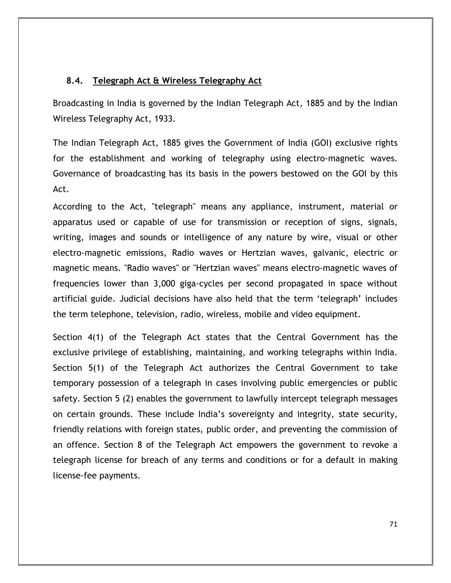#### **8.4. Telegraph Act & Wireless Telegraphy Act**

Broadcasting in India is governed by the Indian Telegraph Act, 1885 and by the Indian Wireless Telegraphy Act, 1933.

The Indian Telegraph Act, 1885 gives the Government of India (GOI) exclusive rights for the establishment and working of telegraphy using electro-magnetic waves. Governance of broadcasting has its basis in the powers bestowed on the GOI by this Act.

According to the Act, "telegraph" means any appliance, instrument, material or apparatus used or capable of use for transmission or reception of signs, signals, writing, images and sounds or intelligence of any nature by wire, visual or other electro-magnetic emissions, Radio waves or Hertzian waves, galvanic, electric or magnetic means. "Radio waves" or "Hertzian waves" means electro-magnetic waves of frequencies lower than 3,000 giga-cycles per second propagated in space without artificial guide. Judicial decisions have also held that the term 'telegraph' includes the term telephone, television, radio, wireless, mobile and video equipment.

Section 4(1) of the Telegraph Act states that the Central Government has the exclusive privilege of establishing, maintaining, and working telegraphs within India. Section 5(1) of the Telegraph Act authorizes the Central Government to take temporary possession of a telegraph in cases involving public emergencies or public safety. Section 5 (2) enables the government to lawfully intercept telegraph messages on certain grounds. These include India's sovereignty and integrity, state security, friendly relations with foreign states, public order, and preventing the commission of an offence. Section 8 of the Telegraph Act empowers the government to revoke a telegraph license for breach of any terms and conditions or for a default in making license-fee payments.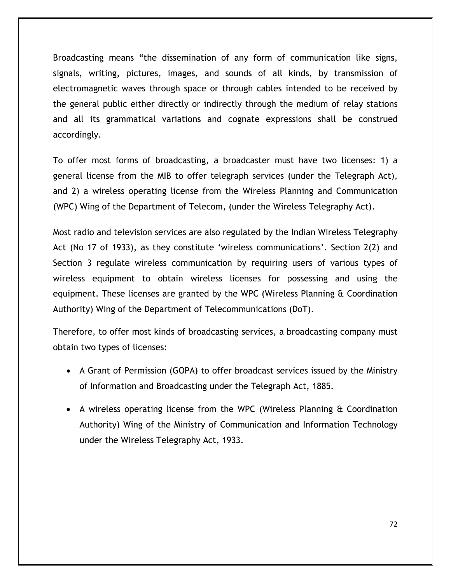Broadcasting means "the dissemination of any form of communication like signs, signals, writing, pictures, images, and sounds of all kinds, by transmission of electromagnetic waves through space or through cables intended to be received by the general public either directly or indirectly through the medium of relay stations and all its grammatical variations and cognate expressions shall be construed accordingly.

To offer most forms of broadcasting, a broadcaster must have two licenses: 1) a general license from the MIB to offer telegraph services (under the Telegraph Act), and 2) a wireless operating license from the Wireless Planning and Communication (WPC) Wing of the Department of Telecom, (under the Wireless Telegraphy Act).

Most radio and television services are also regulated by the Indian Wireless Telegraphy Act (No 17 of 1933), as they constitute 'wireless communications'. Section 2(2) and Section 3 regulate wireless communication by requiring users of various types of wireless equipment to obtain wireless licenses for possessing and using the equipment. These licenses are granted by the WPC (Wireless Planning & Coordination Authority) Wing of the Department of Telecommunications (DoT).

Therefore, to offer most kinds of broadcasting services, a broadcasting company must obtain two types of licenses:

- A Grant of Permission (GOPA) to offer broadcast services issued by the Ministry of Information and Broadcasting under the Telegraph Act, 1885.
- A wireless operating license from the WPC (Wireless Planning & Coordination Authority) Wing of the Ministry of Communication and Information Technology under the Wireless Telegraphy Act, 1933.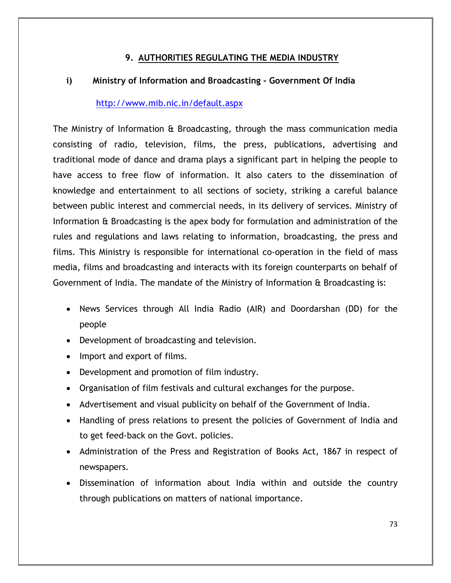# **9. AUTHORITIES REGULATING THE MEDIA INDUSTRY**

## **i) Ministry of Information and Broadcasting - Government Of India**

## <http://www.mib.nic.in/default.aspx>

The Ministry of Information & Broadcasting, through the mass communication media consisting of radio, television, films, the press, publications, advertising and traditional mode of dance and drama plays a significant part in helping the people to have access to free flow of information. It also caters to the dissemination of knowledge and entertainment to all sections of society, striking a careful balance between public interest and commercial needs, in its delivery of services. Ministry of Information & Broadcasting is the apex body for formulation and administration of the rules and regulations and laws relating to information, broadcasting, the press and films. This Ministry is responsible for international co-operation in the field of mass media, films and broadcasting and interacts with its foreign counterparts on behalf of Government of India. The mandate of the Ministry of Information & Broadcasting is:

- News Services through All India Radio (AIR) and Doordarshan (DD) for the people
- Development of broadcasting and television.
- Import and export of films.
- Development and promotion of film industry.
- Organisation of film festivals and cultural exchanges for the purpose.
- Advertisement and visual publicity on behalf of the Government of India.
- Handling of press relations to present the policies of Government of India and to get feed-back on the Govt. policies.
- Administration of the Press and Registration of Books Act, 1867 in respect of newspapers.
- Dissemination of information about India within and outside the country through publications on matters of national importance.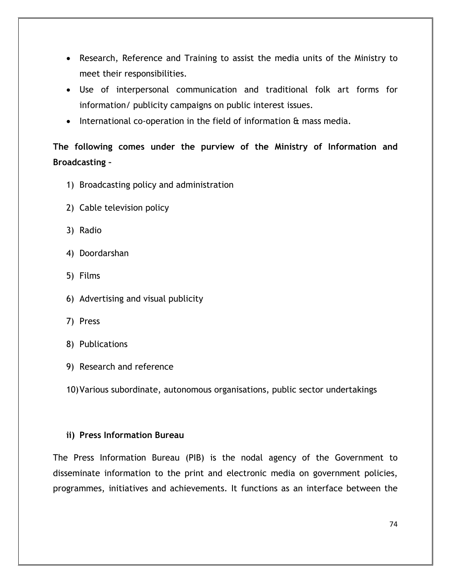- Research, Reference and Training to assist the media units of the Ministry to meet their responsibilities.
- Use of interpersonal communication and traditional folk art forms for information/ publicity campaigns on public interest issues.
- International co-operation in the field of information & mass media.

# **The following comes under the purview of the Ministry of Information and Broadcasting –**

- 1) Broadcasting policy and administration
- 2) Cable television policy
- 3) Radio
- 4) Doordarshan
- 5) Films
- 6) Advertising and visual publicity
- 7) Press
- 8) Publications
- 9) Research and reference

10)Various subordinate, autonomous organisations, public sector undertakings

## **ii) Press Information Bureau**

The Press Information Bureau (PIB) is the nodal agency of the Government to disseminate information to the print and electronic media on government policies, programmes, initiatives and achievements. It functions as an interface between the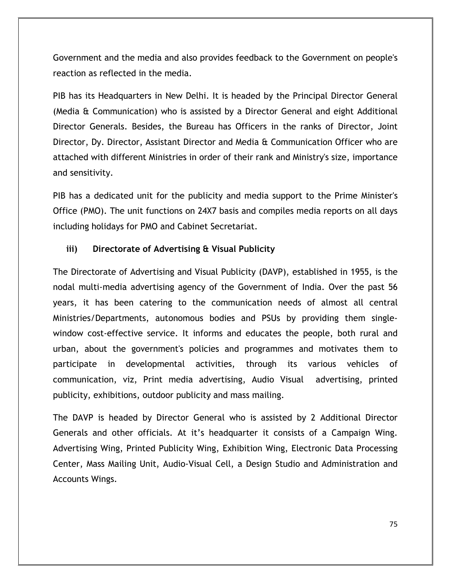Government and the media and also provides feedback to the Government on people's reaction as reflected in the media.

PIB has its Headquarters in New Delhi. It is headed by the Principal Director General (Media & Communication) who is assisted by a Director General and eight Additional Director Generals. Besides, the Bureau has Officers in the ranks of Director, Joint Director, Dy. Director, Assistant Director and Media & Communication Officer who are attached with different Ministries in order of their rank and Ministry's size, importance and sensitivity.

PIB has a dedicated unit for the publicity and media support to the Prime Minister's Office (PMO). The unit functions on 24X7 basis and compiles media reports on all days including holidays for PMO and Cabinet Secretariat.

# **iii) Directorate of Advertising & Visual Publicity**

The Directorate of Advertising and Visual Publicity (DAVP), established in 1955, is the nodal multi-media advertising agency of the Government of India. Over the past 56 years, it has been catering to the communication needs of almost all central Ministries/Departments, autonomous bodies and PSUs by providing them singlewindow cost-effective service. It informs and educates the people, both rural and urban, about the government's policies and programmes and motivates them to participate in developmental activities, through its various vehicles of communication, viz, Print media advertising, Audio Visual advertising, printed publicity, exhibitions, outdoor publicity and mass mailing.

The DAVP is headed by Director General who is assisted by 2 Additional Director Generals and other officials. At it's headquarter it consists of a Campaign Wing. Advertising Wing, Printed Publicity Wing, Exhibition Wing, Electronic Data Processing Center, Mass Mailing Unit, Audio-Visual Cell, a Design Studio and Administration and Accounts Wings.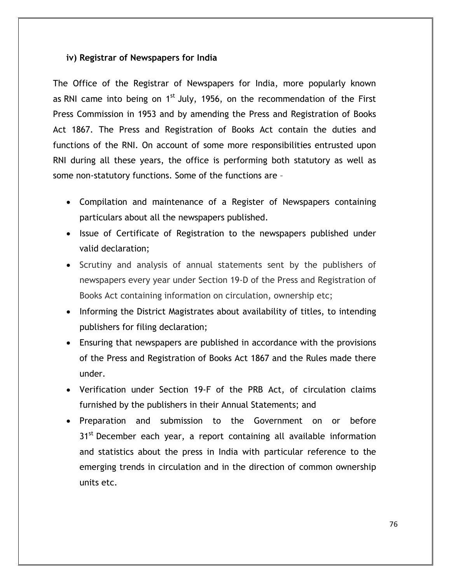## **iv) Registrar of Newspapers for India**

The Office of the Registrar of Newspapers for India, more popularly known as RNI came into being on  $1<sup>st</sup>$  July, 1956, on the recommendation of the First Press Commission in 1953 and by amending the Press and Registration of Books Act 1867. The Press and Registration of Books Act contain the duties and functions of the RNI. On account of some more responsibilities entrusted upon RNI during all these years, the office is performing both statutory as well as some non-statutory functions. Some of the functions are –

- Compilation and maintenance of a Register of Newspapers containing particulars about all the newspapers published.
- Issue of Certificate of Registration to the newspapers published under valid declaration;
- Scrutiny and analysis of annual statements sent by the publishers of newspapers every year under Section 19-D of the Press and Registration of Books Act containing information on circulation, ownership etc;
- Informing the District Magistrates about availability of titles, to intending publishers for filing declaration;
- Ensuring that newspapers are published in accordance with the provisions of the Press and Registration of Books Act 1867 and the Rules made there under.
- Verification under Section 19-F of the PRB Act, of circulation claims furnished by the publishers in their Annual Statements; and
- Preparation and submission to the Government on or before 31<sup>st</sup> December each year, a report containing all available information and statistics about the press in India with particular reference to the emerging trends in circulation and in the direction of common ownership units etc.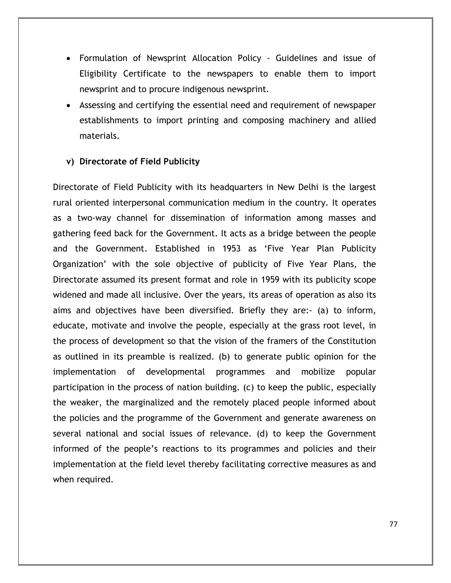- Formulation of Newsprint Allocation Policy Guidelines and issue of Eligibility Certificate to the newspapers to enable them to import newsprint and to procure indigenous newsprint.
- Assessing and certifying the essential need and requirement of newspaper establishments to import printing and composing machinery and allied materials.

## **v) Directorate of Field Publicity**

Directorate of Field Publicity with its headquarters in New Delhi is the largest rural oriented interpersonal communication medium in the country. It operates as a two-way channel for dissemination of information among masses and gathering feed back for the Government. It acts as a bridge between the people and the Government. Established in 1953 as 'Five Year Plan Publicity Organization' with the sole objective of publicity of Five Year Plans, the Directorate assumed its present format and role in 1959 with its publicity scope widened and made all inclusive. Over the years, its areas of operation as also its aims and objectives have been diversified. Briefly they are:- (a) to inform, educate, motivate and involve the people, especially at the grass root level, in the process of development so that the vision of the framers of the Constitution as outlined in its preamble is realized. (b) to generate public opinion for the implementation of developmental programmes and mobilize popular participation in the process of nation building. (c) to keep the public, especially the weaker, the marginalized and the remotely placed people informed about the policies and the programme of the Government and generate awareness on several national and social issues of relevance. (d) to keep the Government informed of the people's reactions to its programmes and policies and their implementation at the field level thereby facilitating corrective measures as and when required.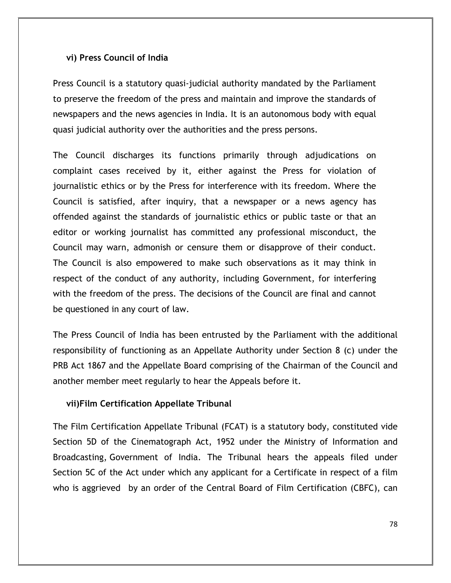#### **vi) Press Council of India**

Press Council is a statutory quasi-judicial authority mandated by the Parliament to preserve the freedom of the press and maintain and improve the standards of newspapers and the news agencies in India. It is an autonomous body with equal quasi judicial authority over the authorities and the press persons.

The Council discharges its functions primarily through adjudications on complaint cases received by it, either against the Press for violation of journalistic ethics or by the Press for interference with its freedom. Where the Council is satisfied, after inquiry, that a newspaper or a news agency has offended against the standards of journalistic ethics or public taste or that an editor or working journalist has committed any professional misconduct, the Council may warn, admonish or censure them or disapprove of their conduct. The Council is also empowered to make such observations as it may think in respect of the conduct of any authority, including Government, for interfering with the freedom of the press. The decisions of the Council are final and cannot be questioned in any court of law.

The Press Council of India has been entrusted by the Parliament with the additional responsibility of functioning as an Appellate Authority under Section 8 (c) under the PRB Act 1867 and the Appellate Board comprising of the Chairman of the Council and another member meet regularly to hear the Appeals before it.

## **vii)Film Certification Appellate Tribunal**

The Film Certification Appellate Tribunal (FCAT) is a statutory body, constituted vide Section 5D of the Cinematograph Act, 1952 under the Ministry of Information and Broadcasting, Government of India. The Tribunal hears the appeals filed under Section 5C of the Act under which any applicant for a Certificate in respect of a film who is aggrieved by an order of the Central Board of Film Certification (CBFC), can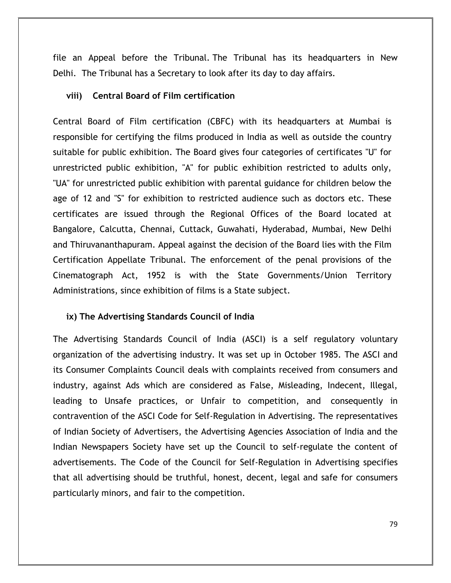file an Appeal before the Tribunal. The Tribunal has its headquarters in New Delhi. The Tribunal has a Secretary to look after its day to day affairs.

#### **viii) Central Board of Film certification**

Central Board of Film certification (CBFC) with its headquarters at Mumbai is responsible for certifying the films produced in India as well as outside the country suitable for public exhibition. The Board gives four categories of certificates "U" for unrestricted public exhibition, "A" for public exhibition restricted to adults only, "UA" for unrestricted public exhibition with parental guidance for children below the age of 12 and "S" for exhibition to restricted audience such as doctors etc. These certificates are issued through the Regional Offices of the Board located at Bangalore, Calcutta, Chennai, Cuttack, Guwahati, Hyderabad, Mumbai, New Delhi and Thiruvananthapuram. Appeal against the decision of the Board lies with the Film Certification Appellate Tribunal. The enforcement of the penal provisions of the Cinematograph Act, 1952 is with the State Governments/Union Territory Administrations, since exhibition of films is a State subject.

#### **ix) The Advertising Standards Council of India**

The Advertising Standards Council of India (ASCI) is a self regulatory voluntary organization of the advertising industry. It was set up in October 1985. The ASCI and its Consumer Complaints Council deals with complaints received from consumers and industry, against Ads which are considered as False, Misleading, Indecent, Illegal, leading to Unsafe practices, or Unfair to competition, and consequently in contravention of the ASCI Code for Self-Regulation in Advertising. The representatives of Indian Society of Advertisers, the Advertising Agencies Association of India and the Indian Newspapers Society have set up the Council to self-regulate the content of advertisements. The Code of the Council for Self-Regulation in Advertising specifies that all advertising should be truthful, honest, decent, legal and safe for consumers particularly minors, and fair to the competition.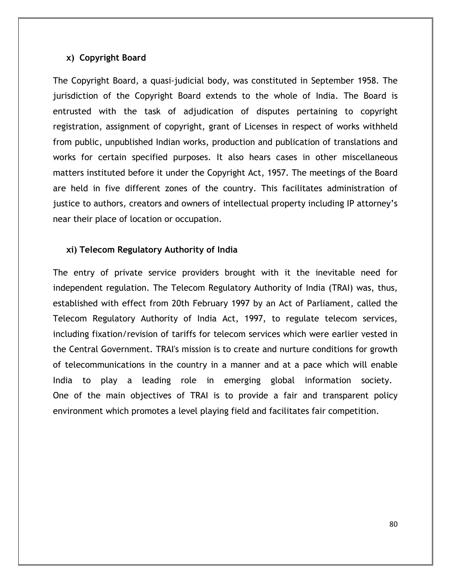#### **x) Copyright Board**

The Copyright Board, a quasi-judicial body, was constituted in September 1958. The jurisdiction of the Copyright Board extends to the whole of India. The Board is entrusted with the task of adjudication of disputes pertaining to copyright registration, assignment of copyright, grant of Licenses in respect of works withheld from public, unpublished Indian works, production and publication of translations and works for certain specified purposes. It also hears cases in other miscellaneous matters instituted before it under the Copyright Act, 1957. The meetings of the Board are held in five different zones of the country. This facilitates administration of justice to authors, creators and owners of intellectual property including IP attorney's near their place of location or occupation.

#### **xi) Telecom Regulatory Authority of India**

The entry of private service providers brought with it the inevitable need for independent regulation. The Telecom Regulatory Authority of India (TRAI) was, thus, established with effect from 20th February 1997 by an Act of Parliament, called the Telecom Regulatory Authority of India Act, 1997, to regulate telecom services, including fixation/revision of tariffs for telecom services which were earlier vested in the Central Government. TRAI's mission is to create and nurture conditions for growth of telecommunications in the country in a manner and at a pace which will enable India to play a leading role in emerging global information society. One of the main objectives of TRAI is to provide a fair and transparent policy environment which promotes a level playing field and facilitates fair competition.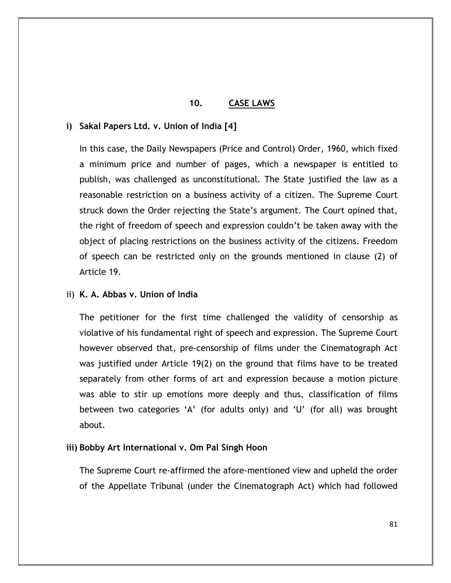#### **10. CASE LAWS**

#### **i) Sakal Papers Ltd. v. Union of India [\[4\]](http://www.legalserviceindia.com/articles/media.htm#_ftn4)**

In this case, the Daily Newspapers (Price and Control) Order, 1960, which fixed a minimum price and number of pages, which a newspaper is entitled to publish, was challenged as unconstitutional. The State justified the law as a reasonable restriction on a business activity of a citizen. The Supreme Court struck down the Order rejecting the State's argument. The Court opined that, the right of freedom of speech and expression couldn't be taken away with the object of placing restrictions on the business activity of the citizens. Freedom of speech can be restricted only on the grounds mentioned in clause (2) of Article 19.

#### ii) **K. A. Abbas v. Union of India**

The petitioner for the first time challenged the validity of censorship as violative of his fundamental right of speech and expression. The Supreme Court however observed that, pre-censorship of films under the Cinematograph Act was justified under Article 19(2) on the ground that films have to be treated separately from other forms of art and expression because a motion picture was able to stir up emotions more deeply and thus, classification of films between two categories 'A' (for adults only) and 'U' (for all) was brought about.

#### **iii) Bobby Art International v. Om Pal Singh Hoon**

The Supreme Court re-affirmed the afore-mentioned view and upheld the order of the Appellate Tribunal (under the Cinematograph Act) which had followed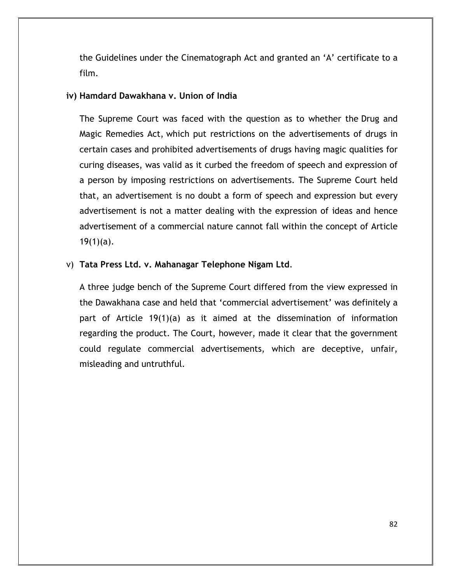the Guidelines under the Cinematograph Act and granted an 'A' certificate to a film.

## **iv) Hamdard Dawakhana v. Union of India**

The Supreme Court was faced with the question as to whether the Drug and Magic Remedies Act, which put restrictions on the advertisements of drugs in certain cases and prohibited advertisements of drugs having magic qualities for curing diseases, was valid as it curbed the freedom of speech and expression of a person by imposing restrictions on advertisements. The Supreme Court held that, an advertisement is no doubt a form of speech and expression but every advertisement is not a matter dealing with the expression of ideas and hence advertisement of a commercial nature cannot fall within the concept of Article  $19(1)(a)$ .

## v) **Tata Press Ltd. v. Mahanagar Telephone Nigam Ltd**.

A three judge bench of the Supreme Court differed from the view expressed in the Dawakhana case and held that 'commercial advertisement' was definitely a part of Article 19(1)(a) as it aimed at the dissemination of information regarding the product. The Court, however, made it clear that the government could regulate commercial advertisements, which are deceptive, unfair, misleading and untruthful.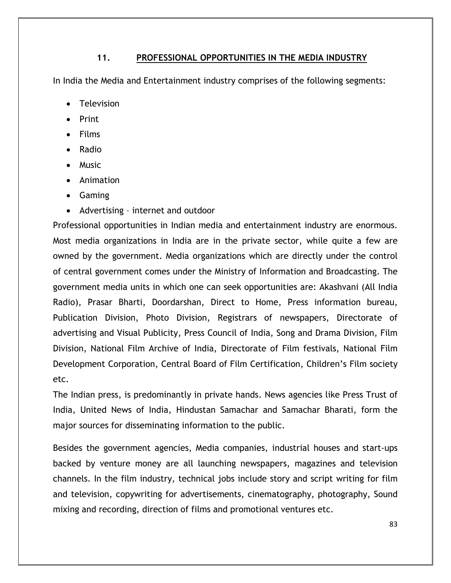# **11. PROFESSIONAL OPPORTUNITIES IN THE MEDIA INDUSTRY**

In India the Media and Entertainment industry comprises of the following segments:

- **Television**
- Print
- Films
- Radio
- Music
- Animation
- Gaming
- Advertising internet and outdoor

Professional opportunities in Indian media and entertainment industry are enormous. Most media organizations in India are in the private sector, while quite a few are owned by the government. Media organizations which are directly under the control of central government comes under the Ministry of Information and Broadcasting. The government media units in which one can seek opportunities are: Akashvani (All India Radio), Prasar Bharti, Doordarshan, Direct to Home, Press information bureau, Publication Division, Photo Division, Registrars of newspapers, Directorate of advertising and Visual Publicity, Press Council of India, Song and Drama Division, Film Division, National Film Archive of India, Directorate of Film festivals, National Film Development Corporation, Central Board of Film Certification, Children's Film society etc.

The Indian press, is predominantly in private hands. News agencies like Press Trust of India, United News of India, Hindustan Samachar and Samachar Bharati, form the major sources for disseminating information to the public.

Besides the government agencies, Media companies, industrial houses and start-ups backed by venture money are all launching newspapers, magazines and television channels. In the film industry, technical jobs include story and script writing for film and television, copywriting for advertisements, cinematography, photography, Sound mixing and recording, direction of films and promotional ventures etc.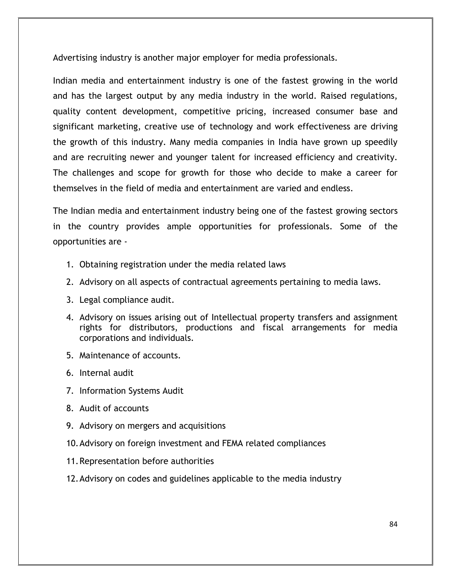Advertising industry is another major employer for media professionals.

Indian media and entertainment industry is one of the fastest growing in the world and has the largest output by any media industry in the world. Raised regulations, quality content development, competitive pricing, increased consumer base and significant marketing, creative use of technology and work effectiveness are driving the growth of this industry. Many media companies in India have grown up speedily and are recruiting newer and younger talent for increased efficiency and creativity. The challenges and scope for growth for those who decide to make a career for themselves in the field of media and entertainment are varied and endless.

The Indian media and entertainment industry being one of the fastest growing sectors in the country provides ample opportunities for professionals. Some of the opportunities are -

- 1. Obtaining registration under the media related laws
- 2. Advisory on all aspects of contractual agreements pertaining to media laws.
- 3. Legal compliance audit.
- 4. Advisory on issues arising out of Intellectual property transfers and assignment rights for distributors, productions and fiscal arrangements for media corporations and individuals.
- 5. Maintenance of accounts.
- 6. Internal audit
- 7. Information Systems Audit
- 8. Audit of accounts
- 9. Advisory on mergers and acquisitions
- 10.Advisory on foreign investment and FEMA related compliances
- 11.Representation before authorities
- 12.Advisory on codes and guidelines applicable to the media industry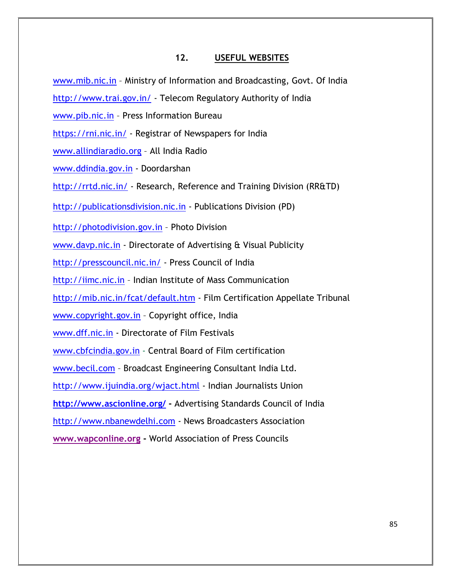## **12. USEFUL WEBSITES**

[www.mib.nic.in](http://www.mib.nic.in/) - Ministry of Information and Broadcasting, Govt. Of India <http://www.trai.gov.in/> - Telecom Regulatory Authority of India [www.pib.nic.in](http://www.pib.nic.in/) – Press Information Bureau <https://rni.nic.in/> - Registrar of Newspapers for India [www.allindiaradio.org](http://www.allindiaradio.org/) – All India Radio [www.ddindia.gov.in](http://www.ddindia.gov.in/) - Doordarshan <http://rrtd.nic.in/> - Research, Reference and Training Division (RR&TD) [http://publicationsdivision.nic.in](http://publicationsdivision.nic.in/) - Publications Division (PD) [http://photodivision.gov.in](http://photodivision.gov.in/) – Photo Division [www.davp.nic.in](http://www.davp.nic.in/) - Directorate of Advertising & Visual Publicity <http://presscouncil.nic.in/> - Press Council of India [http://iimc.nic.in](http://iimc.nic.in/) – Indian Institute of Mass Communication <http://mib.nic.in/fcat/default.htm> - Film Certification Appellate Tribunal [www.copyright.gov.in](http://www.copyright.gov.in/) – Copyright office, India [www.dff.nic.in](http://dff.nic.in/) - Directorate of Film Festivals [www.cbfcindia.gov.in](http://www.cbfcindia.gov.in/) - Central Board of Film certification [www.becil.com](http://www.becil.com/) – Broadcast Engineering Consultant India Ltd. <http://www.ijuindia.org/wjact.html> - Indian Journalists Union **<http://www.ascionline.org/> -** Advertising Standards Council of India [http://www.nbanewdelhi.com](http://www.nbanewdelhi.com/) - News Broadcasters Association **[www.wapconline.org](http://www.wapconline.org/) -** World Association of Press Councils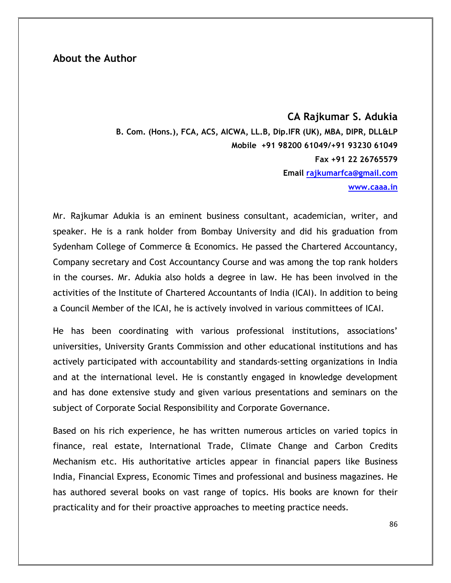# **About the Author**

**CA Rajkumar S. Adukia B. Com. (Hons.), FCA, ACS, AICWA, LL.B, Dip.IFR (UK), MBA, DIPR, DLL&LP Mobile +91 98200 61049/+91 93230 61049 Fax +91 22 26765579 Email [rajkumarfca@gmail.com](mailto:rajkumarfca@gmail.com)  [www.caaa.in](http://www.caaa.in/)**

Mr. Rajkumar Adukia is an eminent business consultant, academician, writer, and speaker. He is a rank holder from Bombay University and did his graduation from Sydenham College of Commerce & Economics. He passed the Chartered Accountancy, Company secretary and Cost Accountancy Course and was among the top rank holders in the courses. Mr. Adukia also holds a degree in law. He has been involved in the activities of the Institute of Chartered Accountants of India (ICAI). In addition to being a Council Member of the ICAI, he is actively involved in various committees of ICAI.

He has been coordinating with various professional institutions, associations' universities, University Grants Commission and other educational institutions and has actively participated with accountability and standards-setting organizations in India and at the international level. He is constantly engaged in knowledge development and has done extensive study and given various presentations and seminars on the subject of Corporate Social Responsibility and Corporate Governance.

Based on his rich experience, he has written numerous articles on varied topics in finance, real estate, International Trade, Climate Change and Carbon Credits Mechanism etc. His authoritative articles appear in financial papers like Business India, Financial Express, Economic Times and professional and business magazines. He has authored several books on vast range of topics. His books are known for their practicality and for their proactive approaches to meeting practice needs.

86